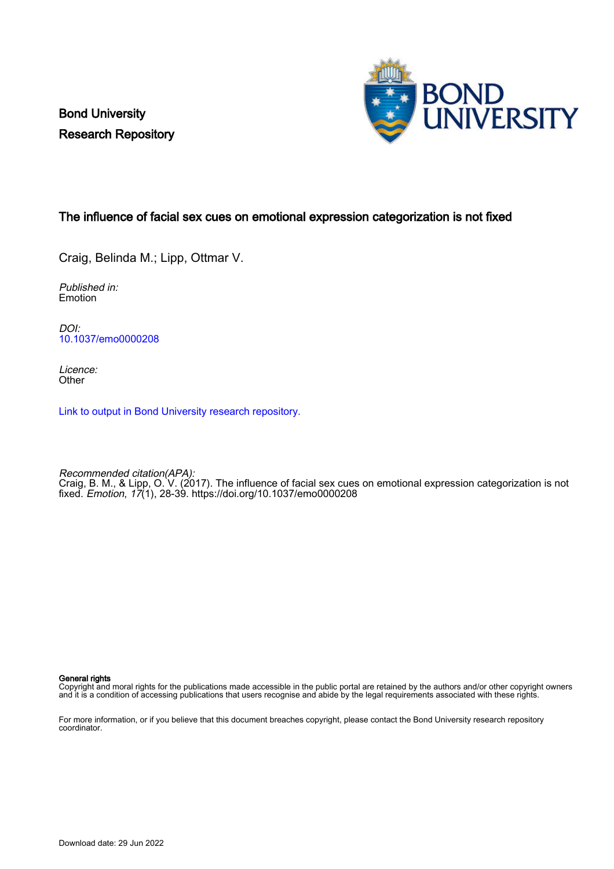Bond University Research Repository



# The influence of facial sex cues on emotional expression categorization is not fixed

Craig, Belinda M.; Lipp, Ottmar V.

Published in: Emotion

DOI: [10.1037/emo0000208](https://doi.org/10.1037/emo0000208)

Licence: **Other** 

[Link to output in Bond University research repository.](https://research.bond.edu.au/en/publications/a7ec7391-4d02-4683-bbcd-e6f16bddb802)

Recommended citation(APA): Craig, B. M., & Lipp, O. V. (2017). The influence of facial sex cues on emotional expression categorization is not fixed. Emotion, 17(1), 28-39. <https://doi.org/10.1037/emo0000208>

General rights

Copyright and moral rights for the publications made accessible in the public portal are retained by the authors and/or other copyright owners and it is a condition of accessing publications that users recognise and abide by the legal requirements associated with these rights.

For more information, or if you believe that this document breaches copyright, please contact the Bond University research repository coordinator.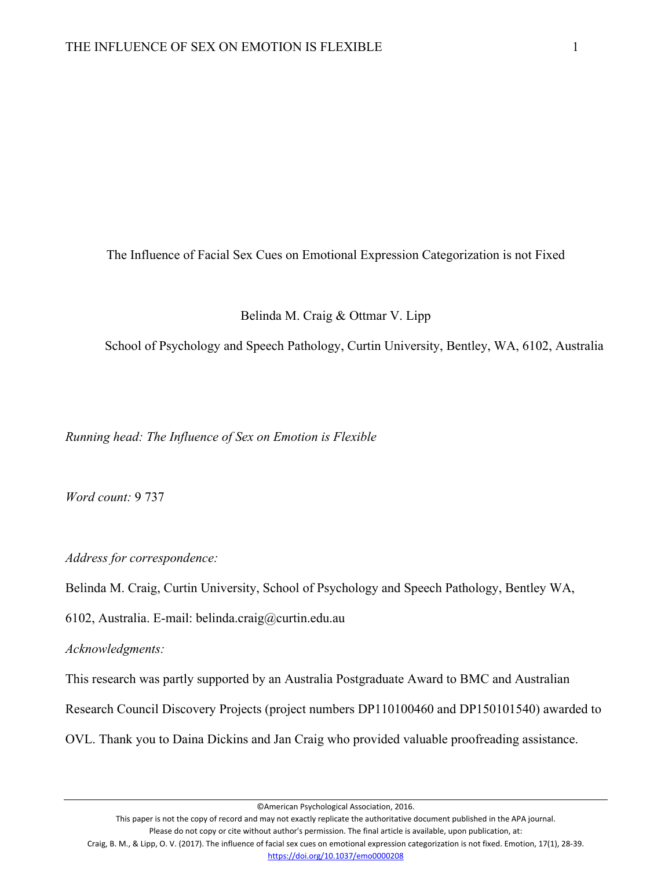The Influence of Facial Sex Cues on Emotional Expression Categorization is not Fixed

## Belinda M. Craig & Ottmar V. Lipp

School of Psychology and Speech Pathology, Curtin University, Bentley, WA, 6102, Australia

*Running head: The Influence of Sex on Emotion is Flexible*

*Word count:* 9 737

*Address for correspondence:*

Belinda M. Craig, Curtin University, School of Psychology and Speech Pathology, Bentley WA,

6102, Australia. E-mail: belinda.craig@curtin.edu.au

*Acknowledgments:* 

This research was partly supported by an Australia Postgraduate Award to BMC and Australian

Research Council Discovery Projects (project numbers DP110100460 and DP150101540) awarded to

OVL. Thank you to Daina Dickins and Jan Craig who provided valuable proofreading assistance.

©American Psychological Association, 2016.

This paper is not the copy of record and may not exactly replicate the authoritative document published in the APA journal.

Please do not copy or cite without author's permission. The final article is available, upon publication, at:

Craig, B. M., & Lipp, O. V. (2017). The influence of facial sex cues on emotional expression categorization is not fixed. Emotion, 17(1), 28-39.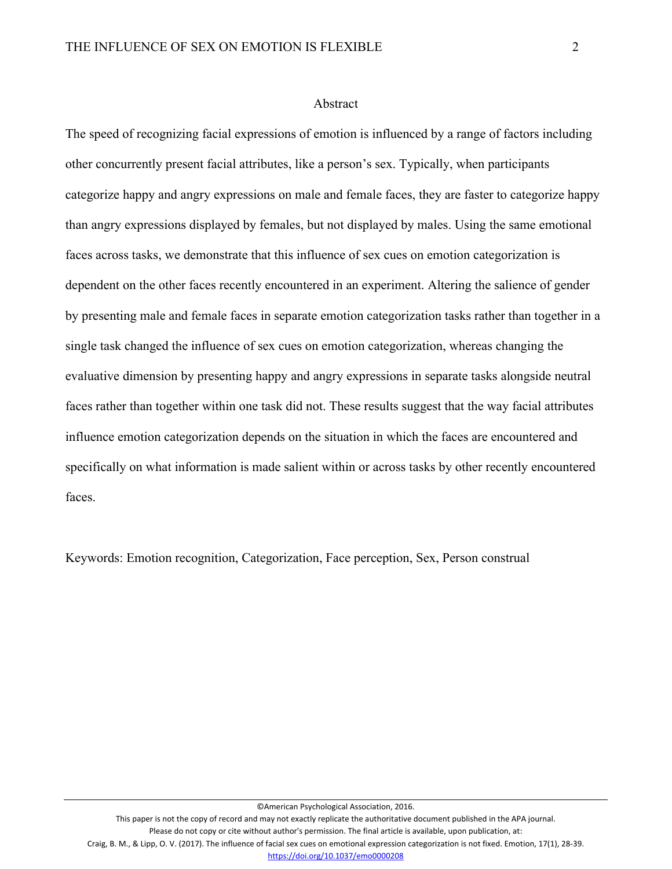#### Abstract

The speed of recognizing facial expressions of emotion is influenced by a range of factors including other concurrently present facial attributes, like a person's sex. Typically, when participants categorize happy and angry expressions on male and female faces, they are faster to categorize happy than angry expressions displayed by females, but not displayed by males. Using the same emotional faces across tasks, we demonstrate that this influence of sex cues on emotion categorization is dependent on the other faces recently encountered in an experiment. Altering the salience of gender by presenting male and female faces in separate emotion categorization tasks rather than together in a single task changed the influence of sex cues on emotion categorization, whereas changing the evaluative dimension by presenting happy and angry expressions in separate tasks alongside neutral faces rather than together within one task did not. These results suggest that the way facial attributes influence emotion categorization depends on the situation in which the faces are encountered and specifically on what information is made salient within or across tasks by other recently encountered faces.

Keywords: Emotion recognition, Categorization, Face perception, Sex, Person construal

This paper is not the copy of record and may not exactly replicate the authoritative document published in the APA journal.

Please do not copy or cite without author's permission. The final article is available, upon publication, at:

Craig, B. M., & Lipp, O. V. (2017). The influence of facial sex cues on emotional expression categorization is not fixed. Emotion, 17(1), 28-39.

<sup>©</sup>American Psychological Association, 2016.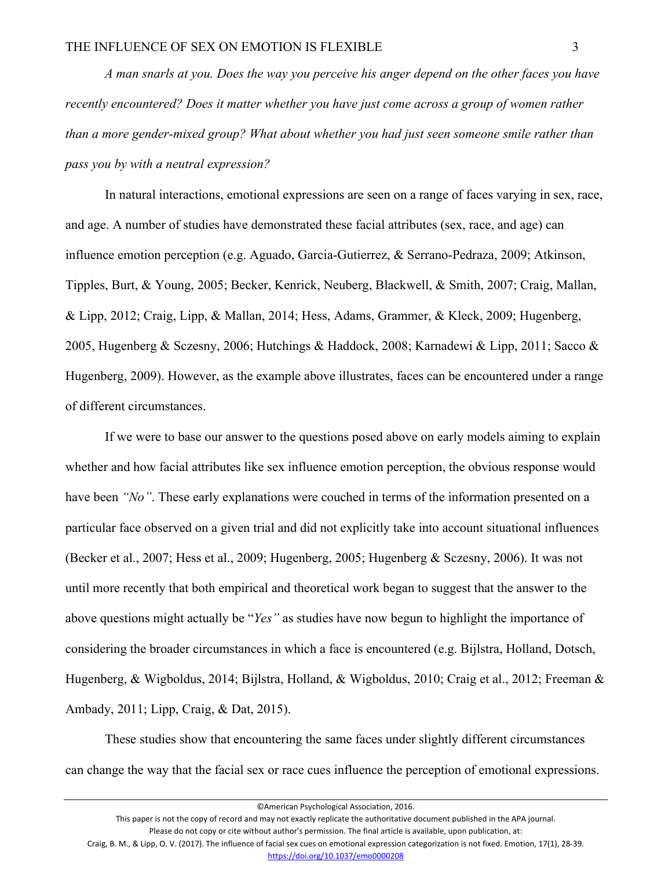*A man snarls at you. Does the way you perceive his anger depend on the other faces you have recently encountered? Does it matter whether you have just come across a group of women rather than a more gender-mixed group? What about whether you had just seen someone smile rather than pass you by with a neutral expression?*

In natural interactions, emotional expressions are seen on a range of faces varying in sex, race, and age. A number of studies have demonstrated these facial attributes (sex, race, and age) can influence emotion perception (e.g. Aguado, Garcia-Gutierrez, & Serrano-Pedraza, 2009; Atkinson, Tipples, Burt, & Young, 2005; Becker, Kenrick, Neuberg, Blackwell, & Smith, 2007; Craig, Mallan, & Lipp, 2012; Craig, Lipp, & Mallan, 2014; Hess, Adams, Grammer, & Kleck, 2009; Hugenberg, 2005, Hugenberg & Sczesny, 2006; Hutchings & Haddock, 2008; Karnadewi & Lipp, 2011; Sacco & Hugenberg, 2009). However, as the example above illustrates, faces can be encountered under a range of different circumstances.

If we were to base our answer to the questions posed above on early models aiming to explain whether and how facial attributes like sex influence emotion perception, the obvious response would have been *"No"*. These early explanations were couched in terms of the information presented on a particular face observed on a given trial and did not explicitly take into account situational influences (Becker et al., 2007; Hess et al., 2009; Hugenberg, 2005; Hugenberg & Sczesny, 2006). It was not until more recently that both empirical and theoretical work began to suggest that the answer to the above questions might actually be "*Yes"* as studies have now begun to highlight the importance of considering the broader circumstances in which a face is encountered (e.g. Bijlstra, Holland, Dotsch, Hugenberg, & Wigboldus, 2014; Bijlstra, Holland, & Wigboldus, 2010; Craig et al., 2012; Freeman & Ambady, 2011; Lipp, Craig, & Dat, 2015).

These studies show that encountering the same faces under slightly different circumstances can change the way that the facial sex or race cues influence the perception of emotional expressions.

This paper is not the copy of record and may not exactly replicate the authoritative document published in the APA journal.

Please do not copy or cite without author's permission. The final article is available, upon publication, at:

<sup>©</sup>American Psychological Association, 2016.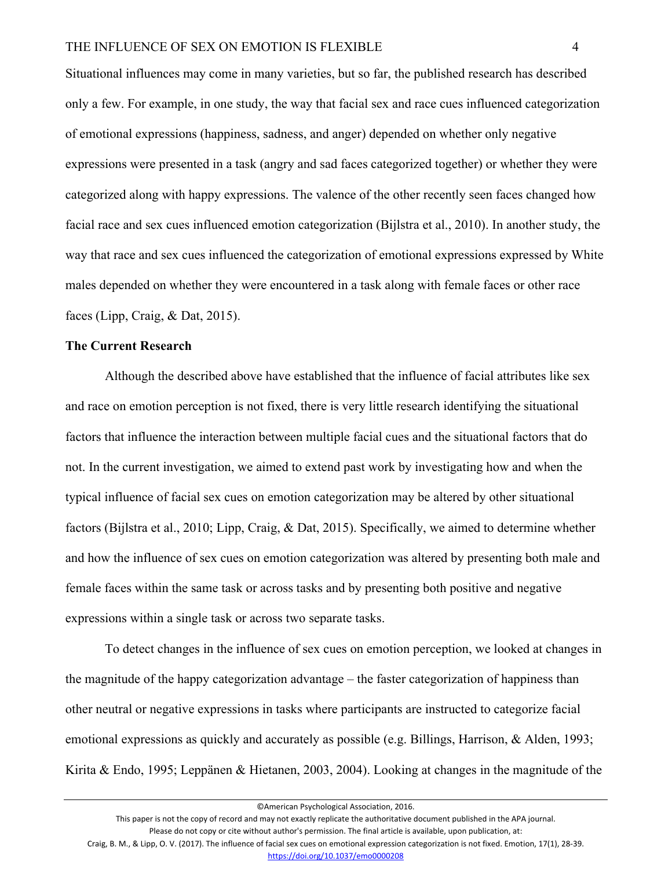Situational influences may come in many varieties, but so far, the published research has described only a few. For example, in one study, the way that facial sex and race cues influenced categorization of emotional expressions (happiness, sadness, and anger) depended on whether only negative expressions were presented in a task (angry and sad faces categorized together) or whether they were categorized along with happy expressions. The valence of the other recently seen faces changed how facial race and sex cues influenced emotion categorization (Bijlstra et al., 2010). In another study, the way that race and sex cues influenced the categorization of emotional expressions expressed by White males depended on whether they were encountered in a task along with female faces or other race faces (Lipp, Craig, & Dat, 2015).

## **The Current Research**

Although the described above have established that the influence of facial attributes like sex and race on emotion perception is not fixed, there is very little research identifying the situational factors that influence the interaction between multiple facial cues and the situational factors that do not. In the current investigation, we aimed to extend past work by investigating how and when the typical influence of facial sex cues on emotion categorization may be altered by other situational factors (Bijlstra et al., 2010; Lipp, Craig, & Dat, 2015). Specifically, we aimed to determine whether and how the influence of sex cues on emotion categorization was altered by presenting both male and female faces within the same task or across tasks and by presenting both positive and negative expressions within a single task or across two separate tasks.

To detect changes in the influence of sex cues on emotion perception, we looked at changes in the magnitude of the happy categorization advantage – the faster categorization of happiness than other neutral or negative expressions in tasks where participants are instructed to categorize facial emotional expressions as quickly and accurately as possible (e.g. Billings, Harrison, & Alden, 1993; Kirita & Endo, 1995; Leppänen & Hietanen, 2003, 2004). Looking at changes in the magnitude of the

<sup>©</sup>American Psychological Association, 2016.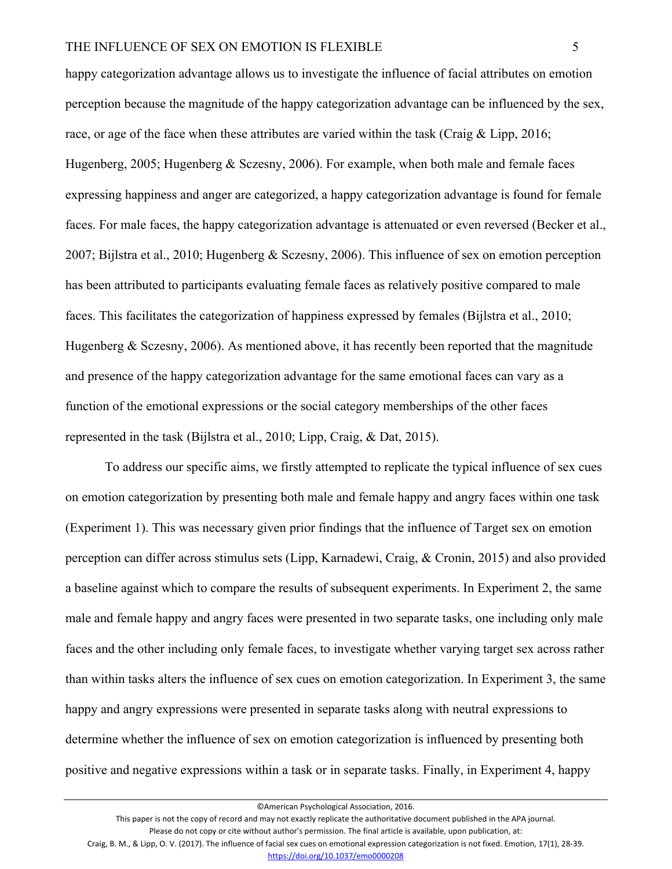happy categorization advantage allows us to investigate the influence of facial attributes on emotion perception because the magnitude of the happy categorization advantage can be influenced by the sex, race, or age of the face when these attributes are varied within the task (Craig & Lipp, 2016; Hugenberg, 2005; Hugenberg & Sczesny, 2006). For example, when both male and female faces expressing happiness and anger are categorized, a happy categorization advantage is found for female faces. For male faces, the happy categorization advantage is attenuated or even reversed (Becker et al., 2007; Bijlstra et al., 2010; Hugenberg & Sczesny, 2006). This influence of sex on emotion perception has been attributed to participants evaluating female faces as relatively positive compared to male faces. This facilitates the categorization of happiness expressed by females (Bijlstra et al., 2010; Hugenberg & Sczesny, 2006). As mentioned above, it has recently been reported that the magnitude and presence of the happy categorization advantage for the same emotional faces can vary as a function of the emotional expressions or the social category memberships of the other faces represented in the task (Bijlstra et al., 2010; Lipp, Craig, & Dat, 2015).

To address our specific aims, we firstly attempted to replicate the typical influence of sex cues on emotion categorization by presenting both male and female happy and angry faces within one task (Experiment 1). This was necessary given prior findings that the influence of Target sex on emotion perception can differ across stimulus sets (Lipp, Karnadewi, Craig, & Cronin, 2015) and also provided a baseline against which to compare the results of subsequent experiments. In Experiment 2, the same male and female happy and angry faces were presented in two separate tasks, one including only male faces and the other including only female faces, to investigate whether varying target sex across rather than within tasks alters the influence of sex cues on emotion categorization. In Experiment 3, the same happy and angry expressions were presented in separate tasks along with neutral expressions to determine whether the influence of sex on emotion categorization is influenced by presenting both positive and negative expressions within a task or in separate tasks. Finally, in Experiment 4, happy

This paper is not the copy of record and may not exactly replicate the authoritative document published in the APA journal.

Please do not copy or cite without author's permission. The final article is available, upon publication, at:

<sup>©</sup>American Psychological Association, 2016.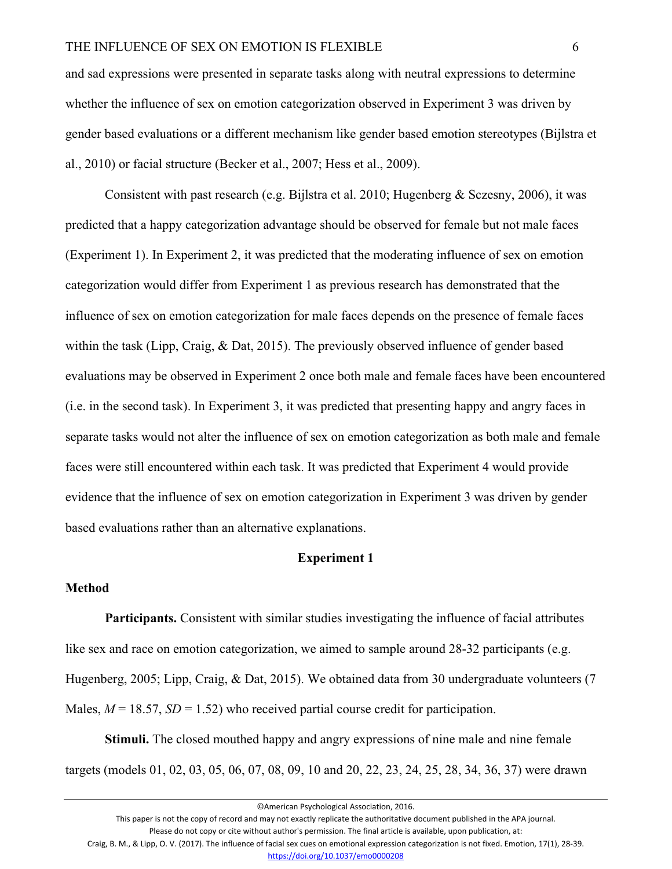#### THE INFLUENCE OF SEX ON EMOTION IS FLEXIBLE 6

and sad expressions were presented in separate tasks along with neutral expressions to determine whether the influence of sex on emotion categorization observed in Experiment 3 was driven by gender based evaluations or a different mechanism like gender based emotion stereotypes (Bijlstra et al., 2010) or facial structure (Becker et al., 2007; Hess et al., 2009).

Consistent with past research (e.g. Bijlstra et al. 2010; Hugenberg & Sczesny, 2006), it was predicted that a happy categorization advantage should be observed for female but not male faces (Experiment 1). In Experiment 2, it was predicted that the moderating influence of sex on emotion categorization would differ from Experiment 1 as previous research has demonstrated that the influence of sex on emotion categorization for male faces depends on the presence of female faces within the task (Lipp, Craig, & Dat, 2015). The previously observed influence of gender based evaluations may be observed in Experiment 2 once both male and female faces have been encountered (i.e. in the second task). In Experiment 3, it was predicted that presenting happy and angry faces in separate tasks would not alter the influence of sex on emotion categorization as both male and female faces were still encountered within each task. It was predicted that Experiment 4 would provide evidence that the influence of sex on emotion categorization in Experiment 3 was driven by gender based evaluations rather than an alternative explanations.

### **Experiment 1**

#### **Method**

**Participants.** Consistent with similar studies investigating the influence of facial attributes like sex and race on emotion categorization, we aimed to sample around 28-32 participants (e.g. Hugenberg, 2005; Lipp, Craig, & Dat, 2015). We obtained data from 30 undergraduate volunteers (7 Males,  $M = 18.57$ ,  $SD = 1.52$ ) who received partial course credit for participation.

**Stimuli.** The closed mouthed happy and angry expressions of nine male and nine female targets (models 01, 02, 03, 05, 06, 07, 08, 09, 10 and 20, 22, 23, 24, 25, 28, 34, 36, 37) were drawn

<sup>©</sup>American Psychological Association, 2016.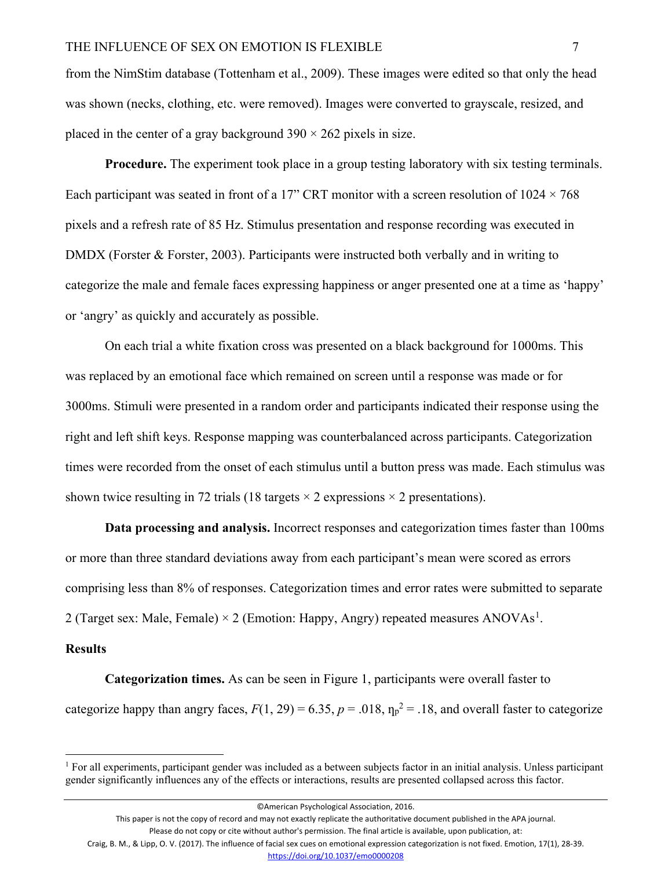from the NimStim database (Tottenham et al., 2009). These images were edited so that only the head was shown (necks, clothing, etc. were removed). Images were converted to grayscale, resized, and placed in the center of a gray background  $390 \times 262$  pixels in size.

**Procedure.** The experiment took place in a group testing laboratory with six testing terminals. Each participant was seated in front of a 17" CRT monitor with a screen resolution of  $1024 \times 768$ pixels and a refresh rate of 85 Hz. Stimulus presentation and response recording was executed in DMDX (Forster & Forster, 2003). Participants were instructed both verbally and in writing to categorize the male and female faces expressing happiness or anger presented one at a time as 'happy' or 'angry' as quickly and accurately as possible.

On each trial a white fixation cross was presented on a black background for 1000ms. This was replaced by an emotional face which remained on screen until a response was made or for 3000ms. Stimuli were presented in a random order and participants indicated their response using the right and left shift keys. Response mapping was counterbalanced across participants. Categorization times were recorded from the onset of each stimulus until a button press was made. Each stimulus was shown twice resulting in 72 trials (18 targets  $\times$  2 expressions  $\times$  2 presentations).

**Data processing and analysis.** Incorrect responses and categorization times faster than 100ms or more than three standard deviations away from each participant's mean were scored as errors comprising less than 8% of responses. Categorization times and error rates were submitted to separate 2 (Target sex: Male, Female)  $\times$  2 (Emotion: Happy, Angry) repeated measures ANOVAs<sup>[1](#page-7-0)</sup>.

#### **Results**

**Categorization times.** As can be seen in Figure 1, participants were overall faster to categorize happy than angry faces,  $F(1, 29) = 6.35$ ,  $p = .018$ ,  $n_p^2 = .18$ , and overall faster to categorize

This paper is not the copy of record and may not exactly replicate the authoritative document published in the APA journal.

Please do not copy or cite without author's permission. The final article is available, upon publication, at:

Craig, B. M., & Lipp, O. V. (2017). The influence of facial sex cues on emotional expression categorization is not fixed. Emotion, 17(1), 28-39.

<span id="page-7-0"></span><sup>1</sup> For all experiments, participant gender was included as a between subjects factor in an initial analysis. Unless participant gender significantly influences any of the effects or interactions, results are presented collapsed across this factor.

<sup>©</sup>American Psychological Association, 2016.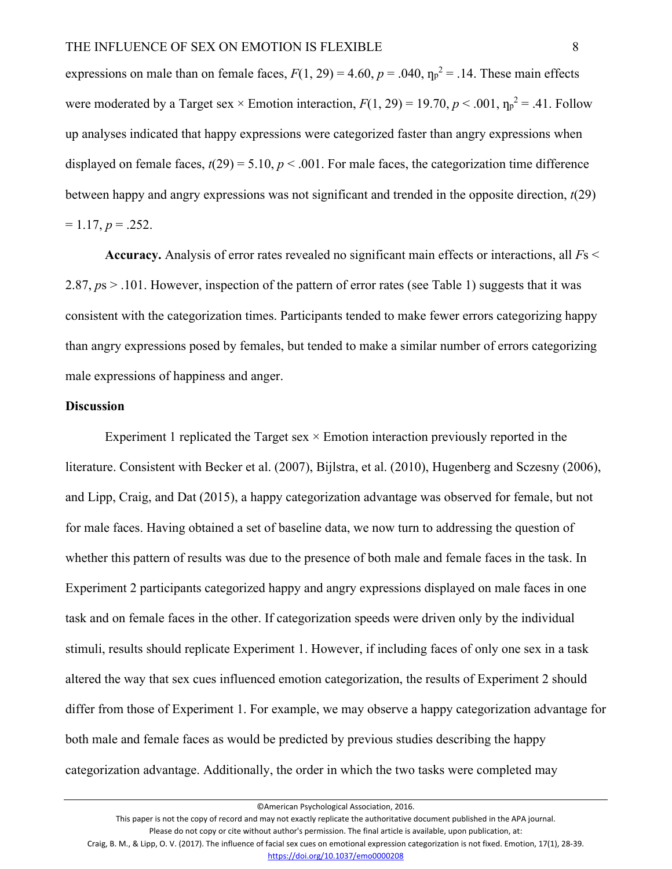expressions on male than on female faces,  $F(1, 29) = 4.60$ ,  $p = .040$ ,  $np^2 = .14$ . These main effects were moderated by a Target sex  $\times$  Emotion interaction,  $F(1, 29) = 19.70$ ,  $p < .001$ ,  $n_p^2 = .41$ . Follow up analyses indicated that happy expressions were categorized faster than angry expressions when displayed on female faces,  $t(29) = 5.10$ ,  $p < .001$ . For male faces, the categorization time difference between happy and angry expressions was not significant and trended in the opposite direction, *t*(29)  $= 1.17, p = .252.$ 

**Accuracy.** Analysis of error rates revealed no significant main effects or interactions, all *F*s < 2.87, *p*s > .101. However, inspection of the pattern of error rates (see Table 1) suggests that it was consistent with the categorization times. Participants tended to make fewer errors categorizing happy than angry expressions posed by females, but tended to make a similar number of errors categorizing male expressions of happiness and anger.

### **Discussion**

Experiment 1 replicated the Target sex  $\times$  Emotion interaction previously reported in the literature. Consistent with Becker et al. (2007), Bijlstra, et al. (2010), Hugenberg and Sczesny (2006), and Lipp, Craig, and Dat (2015), a happy categorization advantage was observed for female, but not for male faces. Having obtained a set of baseline data, we now turn to addressing the question of whether this pattern of results was due to the presence of both male and female faces in the task. In Experiment 2 participants categorized happy and angry expressions displayed on male faces in one task and on female faces in the other. If categorization speeds were driven only by the individual stimuli, results should replicate Experiment 1. However, if including faces of only one sex in a task altered the way that sex cues influenced emotion categorization, the results of Experiment 2 should differ from those of Experiment 1. For example, we may observe a happy categorization advantage for both male and female faces as would be predicted by previous studies describing the happy categorization advantage. Additionally, the order in which the two tasks were completed may

This paper is not the copy of record and may not exactly replicate the authoritative document published in the APA journal.

Please do not copy or cite without author's permission. The final article is available, upon publication, at:

<sup>©</sup>American Psychological Association, 2016.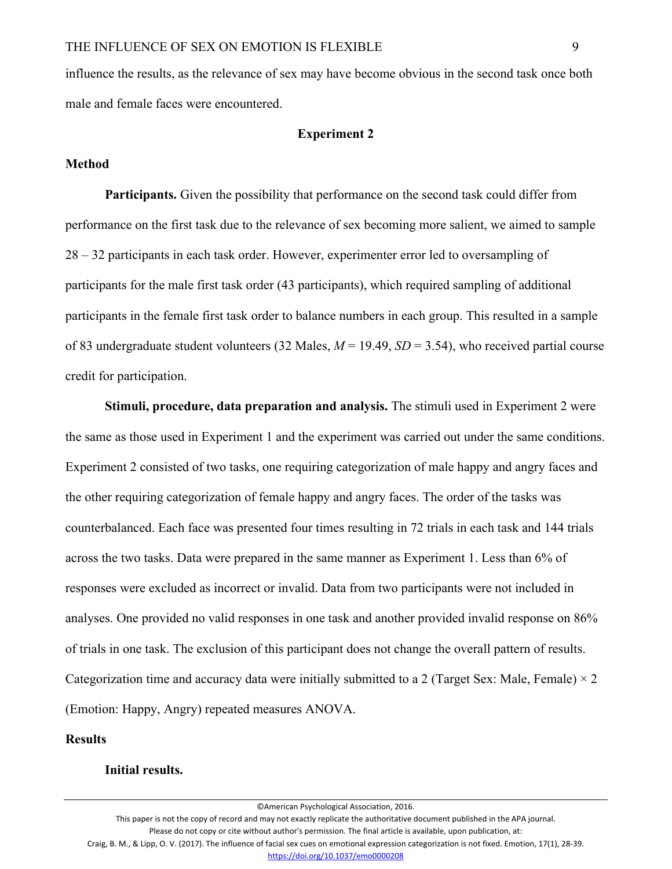influence the results, as the relevance of sex may have become obvious in the second task once both male and female faces were encountered.

### **Experiment 2**

### **Method**

**Participants.** Given the possibility that performance on the second task could differ from performance on the first task due to the relevance of sex becoming more salient, we aimed to sample 28 – 32 participants in each task order. However, experimenter error led to oversampling of participants for the male first task order (43 participants), which required sampling of additional participants in the female first task order to balance numbers in each group. This resulted in a sample of 83 undergraduate student volunteers (32 Males, *M* = 19.49, *SD* = 3.54), who received partial course credit for participation.

**Stimuli, procedure, data preparation and analysis.** The stimuli used in Experiment 2 were the same as those used in Experiment 1 and the experiment was carried out under the same conditions. Experiment 2 consisted of two tasks, one requiring categorization of male happy and angry faces and the other requiring categorization of female happy and angry faces. The order of the tasks was counterbalanced. Each face was presented four times resulting in 72 trials in each task and 144 trials across the two tasks. Data were prepared in the same manner as Experiment 1. Less than 6% of responses were excluded as incorrect or invalid. Data from two participants were not included in analyses. One provided no valid responses in one task and another provided invalid response on 86% of trials in one task. The exclusion of this participant does not change the overall pattern of results. Categorization time and accuracy data were initially submitted to a 2 (Target Sex: Male, Female)  $\times$  2 (Emotion: Happy, Angry) repeated measures ANOVA.

#### **Results**

## **Initial results.**

<sup>©</sup>American Psychological Association, 2016.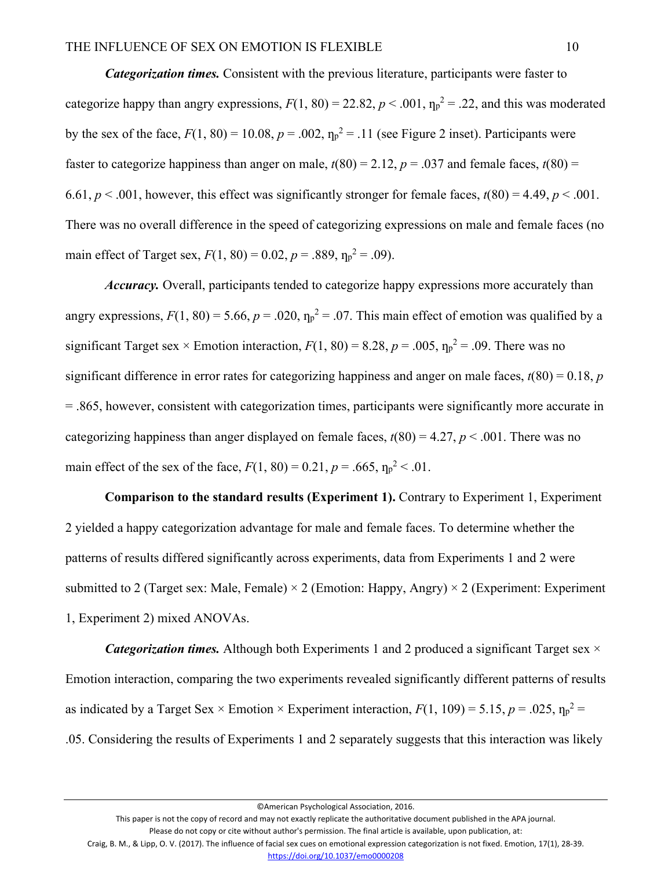*Categorization times.* Consistent with the previous literature, participants were faster to categorize happy than angry expressions,  $F(1, 80) = 22.82$ ,  $p < .001$ ,  $\eta_p^2 = .22$ , and this was moderated by the sex of the face,  $F(1, 80) = 10.08$ ,  $p = .002$ ,  $n_p^2 = .11$  (see Figure 2 inset). Participants were faster to categorize happiness than anger on male,  $t(80) = 2.12$ ,  $p = .037$  and female faces,  $t(80) =$ 6.61,  $p < .001$ , however, this effect was significantly stronger for female faces,  $t(80) = 4.49$ ,  $p < .001$ . There was no overall difference in the speed of categorizing expressions on male and female faces (no main effect of Target sex,  $F(1, 80) = 0.02$ ,  $p = .889$ ,  $\eta_p^2 = .09$ ).

*Accuracy.* Overall, participants tended to categorize happy expressions more accurately than angry expressions,  $F(1, 80) = 5.66$ ,  $p = .020$ ,  $\eta_p^2 = .07$ . This main effect of emotion was qualified by a significant Target sex  $\times$  Emotion interaction,  $F(1, 80) = 8.28$ ,  $p = .005$ ,  $n_p^2 = .09$ . There was no significant difference in error rates for categorizing happiness and anger on male faces,  $t(80) = 0.18$ , *p* = .865, however, consistent with categorization times, participants were significantly more accurate in categorizing happiness than anger displayed on female faces,  $t(80) = 4.27$ ,  $p < .001$ . There was no main effect of the sex of the face,  $F(1, 80) = 0.21$ ,  $p = .665$ ,  $\eta_p^2 < .01$ .

**Comparison to the standard results (Experiment 1).** Contrary to Experiment 1, Experiment 2 yielded a happy categorization advantage for male and female faces. To determine whether the patterns of results differed significantly across experiments, data from Experiments 1 and 2 were submitted to 2 (Target sex: Male, Female)  $\times$  2 (Emotion: Happy, Angry)  $\times$  2 (Experiment: Experiment 1, Experiment 2) mixed ANOVAs.

*Categorization times.* Although both Experiments 1 and 2 produced a significant Target sex  $\times$ Emotion interaction, comparing the two experiments revealed significantly different patterns of results as indicated by a Target Sex  $\times$  Emotion  $\times$  Experiment interaction,  $F(1, 109) = 5.15$ ,  $p = .025$ ,  $np^2 =$ .05. Considering the results of Experiments 1 and 2 separately suggests that this interaction was likely

Please do not copy or cite without author's permission. The final article is available, upon publication, at:

Craig, B. M., & Lipp, O. V. (2017). The influence of facial sex cues on emotional expression categorization is not fixed. Emotion, 17(1), 28-39.

<sup>©</sup>American Psychological Association, 2016.

This paper is not the copy of record and may not exactly replicate the authoritative document published in the APA journal.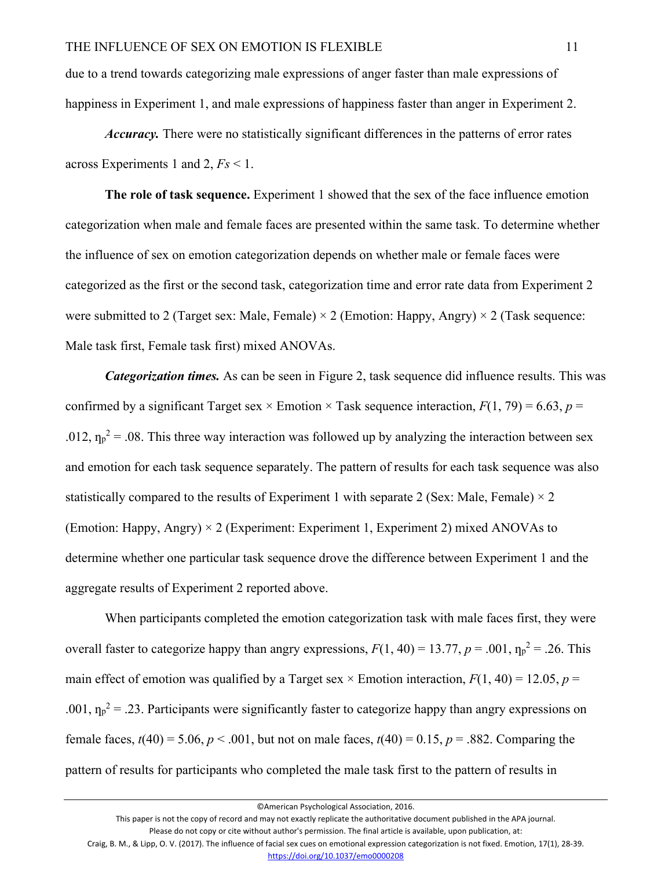due to a trend towards categorizing male expressions of anger faster than male expressions of happiness in Experiment 1, and male expressions of happiness faster than anger in Experiment 2.

*Accuracy.* There were no statistically significant differences in the patterns of error rates across Experiments 1 and 2, *Fs* < 1.

**The role of task sequence.** Experiment 1 showed that the sex of the face influence emotion categorization when male and female faces are presented within the same task. To determine whether the influence of sex on emotion categorization depends on whether male or female faces were categorized as the first or the second task, categorization time and error rate data from Experiment 2 were submitted to 2 (Target sex: Male, Female)  $\times$  2 (Emotion: Happy, Angry)  $\times$  2 (Task sequence: Male task first, Female task first) mixed ANOVAs.

*Categorization times.* As can be seen in Figure 2, task sequence did influence results. This was confirmed by a significant Target sex  $\times$  Emotion  $\times$  Task sequence interaction,  $F(1, 79) = 6.63$ ,  $p =$ .012,  $\eta_p^2$  = .08. This three way interaction was followed up by analyzing the interaction between sex and emotion for each task sequence separately. The pattern of results for each task sequence was also statistically compared to the results of Experiment 1 with separate 2 (Sex: Male, Female)  $\times$  2 (Emotion: Happy, Angry)  $\times$  2 (Experiment: Experiment 1, Experiment 2) mixed ANOVAs to determine whether one particular task sequence drove the difference between Experiment 1 and the aggregate results of Experiment 2 reported above.

When participants completed the emotion categorization task with male faces first, they were overall faster to categorize happy than angry expressions,  $F(1, 40) = 13.77$ ,  $p = .001$ ,  $n_p^2 = .26$ . This main effect of emotion was qualified by a Target sex  $\times$  Emotion interaction,  $F(1, 40) = 12.05$ ,  $p =$ .001,  $\eta_p^2$  = .23. Participants were significantly faster to categorize happy than angry expressions on female faces,  $t(40) = 5.06$ ,  $p < .001$ , but not on male faces,  $t(40) = 0.15$ ,  $p = .882$ . Comparing the pattern of results for participants who completed the male task first to the pattern of results in

This paper is not the copy of record and may not exactly replicate the authoritative document published in the APA journal.

Please do not copy or cite without author's permission. The final article is available, upon publication, at:

<sup>©</sup>American Psychological Association, 2016.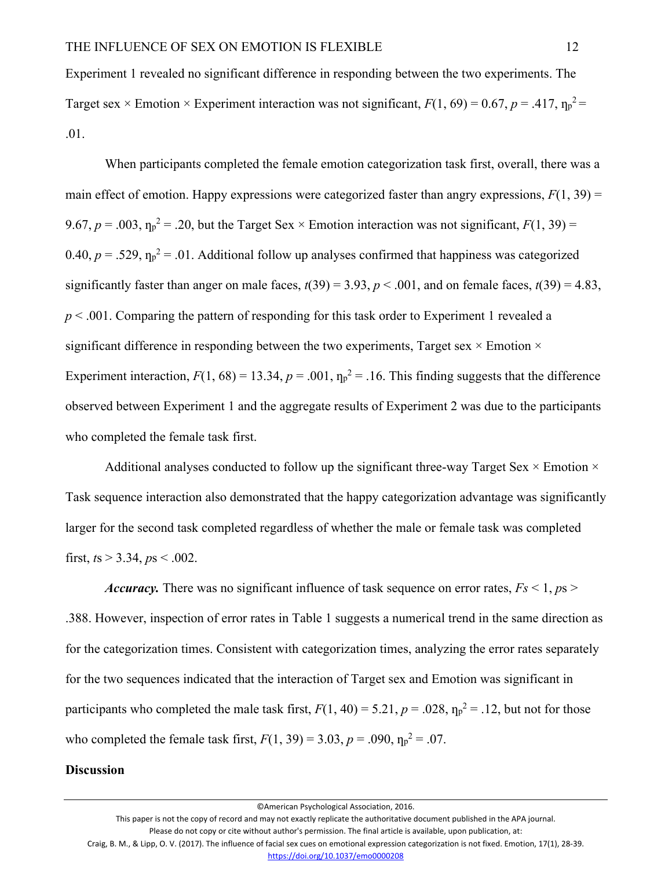Experiment 1 revealed no significant difference in responding between the two experiments. The Target sex  $\times$  Emotion  $\times$  Experiment interaction was not significant,  $F(1, 69) = 0.67$ ,  $p = .417$ ,  $\eta_p^2 =$ .01.

When participants completed the female emotion categorization task first, overall, there was a main effect of emotion. Happy expressions were categorized faster than angry expressions,  $F(1, 39)$  = 9.67,  $p = .003$ ,  $\eta_p^2 = .20$ , but the Target Sex  $\times$  Emotion interaction was not significant,  $F(1, 39) =$  $0.40, p = .529, \eta_p^2 = .01$ . Additional follow up analyses confirmed that happiness was categorized significantly faster than anger on male faces,  $t(39) = 3.93$ ,  $p < .001$ , and on female faces,  $t(39) = 4.83$ , *p* < .001. Comparing the pattern of responding for this task order to Experiment 1 revealed a significant difference in responding between the two experiments, Target sex  $\times$  Emotion  $\times$ Experiment interaction,  $F(1, 68) = 13.34$ ,  $p = .001$ ,  $\eta_p^2 = .16$ . This finding suggests that the difference observed between Experiment 1 and the aggregate results of Experiment 2 was due to the participants who completed the female task first.

Additional analyses conducted to follow up the significant three-way Target Sex  $\times$  Emotion  $\times$ Task sequence interaction also demonstrated that the happy categorization advantage was significantly larger for the second task completed regardless of whether the male or female task was completed first,  $ts > 3.34$ ,  $ps < .002$ .

*Accuracy.* There was no significant influence of task sequence on error rates, *Fs* < 1, *p*s > .388. However, inspection of error rates in Table 1 suggests a numerical trend in the same direction as for the categorization times. Consistent with categorization times, analyzing the error rates separately for the two sequences indicated that the interaction of Target sex and Emotion was significant in participants who completed the male task first,  $F(1, 40) = 5.21$ ,  $p = .028$ ,  $\eta_p^2 = .12$ , but not for those who completed the female task first,  $F(1, 39) = 3.03$ ,  $p = .090$ ,  $p_p^2 = .07$ .

## **Discussion**

This paper is not the copy of record and may not exactly replicate the authoritative document published in the APA journal.

Please do not copy or cite without author's permission. The final article is available, upon publication, at:

<sup>©</sup>American Psychological Association, 2016.

<https://doi.org/10.1037/emo0000208>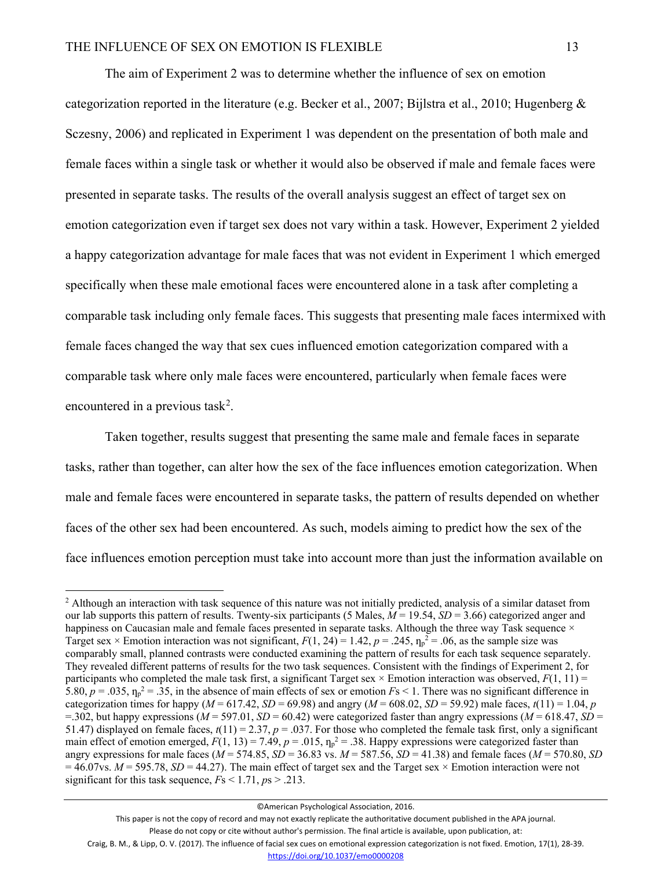The aim of Experiment 2 was to determine whether the influence of sex on emotion categorization reported in the literature (e.g. Becker et al., 2007; Bijlstra et al., 2010; Hugenberg & Sczesny, 2006) and replicated in Experiment 1 was dependent on the presentation of both male and female faces within a single task or whether it would also be observed if male and female faces were presented in separate tasks. The results of the overall analysis suggest an effect of target sex on emotion categorization even if target sex does not vary within a task. However, Experiment 2 yielded a happy categorization advantage for male faces that was not evident in Experiment 1 which emerged specifically when these male emotional faces were encountered alone in a task after completing a comparable task including only female faces. This suggests that presenting male faces intermixed with female faces changed the way that sex cues influenced emotion categorization compared with a comparable task where only male faces were encountered, particularly when female faces were encountered in a previous task<sup>[2](#page-13-0)</sup>.

Taken together, results suggest that presenting the same male and female faces in separate tasks, rather than together, can alter how the sex of the face influences emotion categorization. When male and female faces were encountered in separate tasks, the pattern of results depended on whether faces of the other sex had been encountered. As such, models aiming to predict how the sex of the face influences emotion perception must take into account more than just the information available on

<span id="page-13-0"></span> $2$  Although an interaction with task sequence of this nature was not initially predicted, analysis of a similar dataset from our lab supports this pattern of results. Twenty-six participants (5 Males, *M* = 19.54, *SD* = 3.66) categorized anger and happiness on Caucasian male and female faces presented in separate tasks. Although the three way Task sequence  $\times$ Target sex  $\times$  Emotion interaction was not significant,  $F(1, 24) = 1.42$ ,  $p = .245$ ,  $n_p^2 = .06$ , as the sample size was comparably small, planned contrasts were conducted examining the pattern of results for each task sequence separately. They revealed different patterns of results for the two task sequences. Consistent with the findings of Experiment 2, for participants who completed the male task first, a significant Target sex  $\times$  Emotion interaction was observed,  $F(1, 11) =$ 5.80,  $p = .035$ ,  $\eta_p^2 = .35$ , in the absence of main effects of sex or emotion  $Fs < 1$ . There was no significant difference in categorization times for happy ( $M = 617.42$ ,  $SD = 69.98$ ) and angry ( $M = 608.02$ ,  $SD = 59.92$ ) male faces,  $t(11) = 1.04$ ,  $p$ =.302, but happy expressions ( $M = 597.01$ ,  $SD = 60.42$ ) were categorized faster than angry expressions ( $M = 618.47$ ,  $SD =$ 51.47) displayed on female faces,  $t(11) = 2.37$ ,  $p = .037$ . For those who completed the female task first, only a significant main effect of emotion emerged,  $F(1, 13) = 7.49$ ,  $p = .015$ ,  $\eta_p^2 = .38$ . Happy expressions were categorized faster than angry expressions for male faces ( $\dot{M} = 574.85$ ,  $SD = 36.83$  vs.  $M = 587.56$ ,  $SD = 41.38$ ) and female faces ( $M = 570.80$ ,  $SD$  $= 46.07$ vs.  $M = 595.78$ ,  $SD = 44.27$ ). The main effect of target sex and the Target sex × Emotion interaction were not significant for this task sequence, *F*s < 1.71, *p*s > .213.

<sup>©</sup>American Psychological Association, 2016.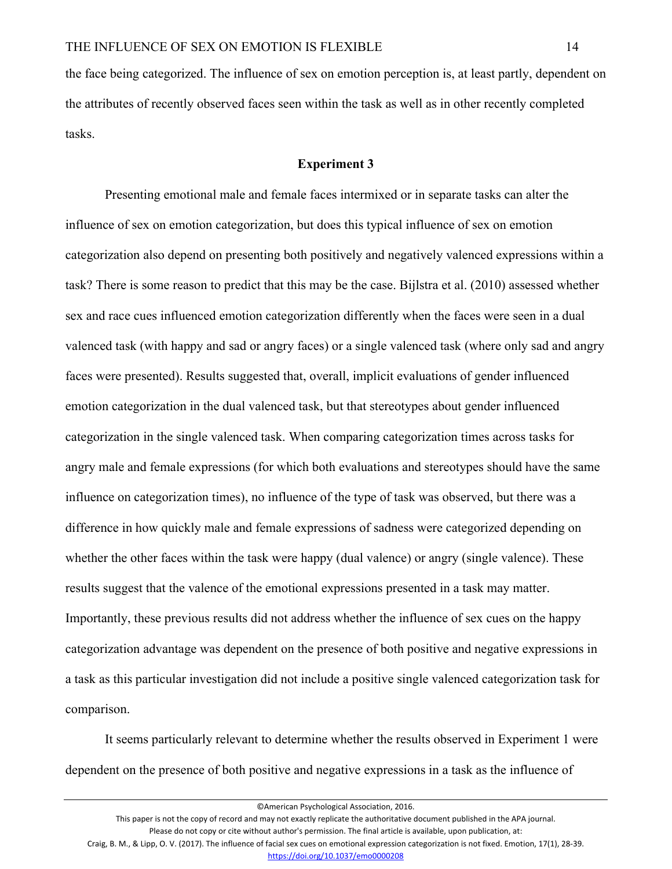the face being categorized. The influence of sex on emotion perception is, at least partly, dependent on the attributes of recently observed faces seen within the task as well as in other recently completed tasks.

## **Experiment 3**

Presenting emotional male and female faces intermixed or in separate tasks can alter the influence of sex on emotion categorization, but does this typical influence of sex on emotion categorization also depend on presenting both positively and negatively valenced expressions within a task? There is some reason to predict that this may be the case. Bijlstra et al. (2010) assessed whether sex and race cues influenced emotion categorization differently when the faces were seen in a dual valenced task (with happy and sad or angry faces) or a single valenced task (where only sad and angry faces were presented). Results suggested that, overall, implicit evaluations of gender influenced emotion categorization in the dual valenced task, but that stereotypes about gender influenced categorization in the single valenced task. When comparing categorization times across tasks for angry male and female expressions (for which both evaluations and stereotypes should have the same influence on categorization times), no influence of the type of task was observed, but there was a difference in how quickly male and female expressions of sadness were categorized depending on whether the other faces within the task were happy (dual valence) or angry (single valence). These results suggest that the valence of the emotional expressions presented in a task may matter. Importantly, these previous results did not address whether the influence of sex cues on the happy categorization advantage was dependent on the presence of both positive and negative expressions in a task as this particular investigation did not include a positive single valenced categorization task for comparison.

It seems particularly relevant to determine whether the results observed in Experiment 1 were dependent on the presence of both positive and negative expressions in a task as the influence of

This paper is not the copy of record and may not exactly replicate the authoritative document published in the APA journal.

Please do not copy or cite without author's permission. The final article is available, upon publication, at:

<sup>©</sup>American Psychological Association, 2016.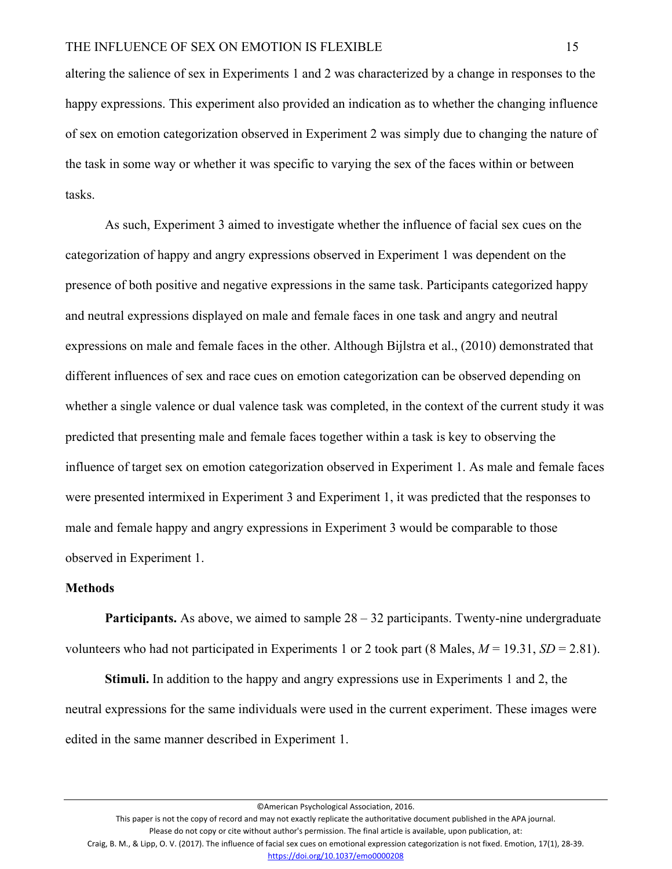altering the salience of sex in Experiments 1 and 2 was characterized by a change in responses to the happy expressions. This experiment also provided an indication as to whether the changing influence of sex on emotion categorization observed in Experiment 2 was simply due to changing the nature of the task in some way or whether it was specific to varying the sex of the faces within or between tasks.

As such, Experiment 3 aimed to investigate whether the influence of facial sex cues on the categorization of happy and angry expressions observed in Experiment 1 was dependent on the presence of both positive and negative expressions in the same task. Participants categorized happy and neutral expressions displayed on male and female faces in one task and angry and neutral expressions on male and female faces in the other. Although Bijlstra et al., (2010) demonstrated that different influences of sex and race cues on emotion categorization can be observed depending on whether a single valence or dual valence task was completed, in the context of the current study it was predicted that presenting male and female faces together within a task is key to observing the influence of target sex on emotion categorization observed in Experiment 1. As male and female faces were presented intermixed in Experiment 3 and Experiment 1, it was predicted that the responses to male and female happy and angry expressions in Experiment 3 would be comparable to those observed in Experiment 1.

### **Methods**

**Participants.** As above, we aimed to sample 28 – 32 participants. Twenty-nine undergraduate volunteers who had not participated in Experiments 1 or 2 took part  $(8 \text{ Males}, M = 19.31, SD = 2.81)$ .

**Stimuli.** In addition to the happy and angry expressions use in Experiments 1 and 2, the neutral expressions for the same individuals were used in the current experiment. These images were edited in the same manner described in Experiment 1.

<sup>©</sup>American Psychological Association, 2016.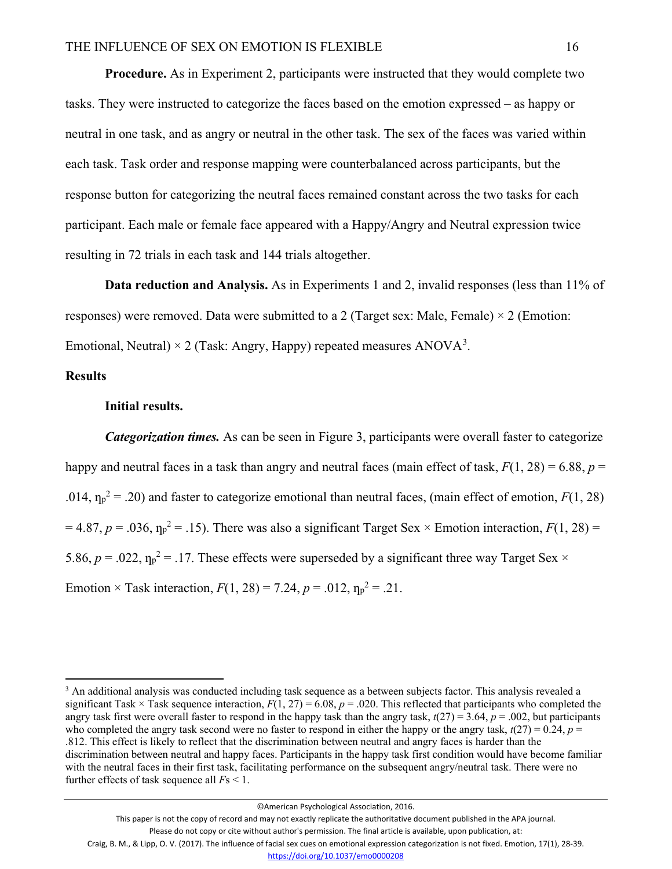**Procedure.** As in Experiment 2, participants were instructed that they would complete two tasks. They were instructed to categorize the faces based on the emotion expressed – as happy or neutral in one task, and as angry or neutral in the other task. The sex of the faces was varied within each task. Task order and response mapping were counterbalanced across participants, but the response button for categorizing the neutral faces remained constant across the two tasks for each participant. Each male or female face appeared with a Happy/Angry and Neutral expression twice resulting in 72 trials in each task and 144 trials altogether.

**Data reduction and Analysis.** As in Experiments 1 and 2, invalid responses (less than 11% of responses) were removed. Data were submitted to a 2 (Target sex: Male, Female)  $\times$  2 (Emotion: Emotional, Neutral)  $\times$  2 (Task: Angry, Happy) repeated measures ANOVA<sup>[3](#page-16-0)</sup>.

#### **Results**

#### **Initial results.**

*Categorization times.* As can be seen in Figure 3, participants were overall faster to categorize happy and neutral faces in a task than angry and neutral faces (main effect of task,  $F(1, 28) = 6.88$ ,  $p =$ .014,  $\eta_p^2$  = .20) and faster to categorize emotional than neutral faces, (main effect of emotion, *F*(1, 28)  $= 4.87, p = .036, \eta_p^2 = .15$ ). There was also a significant Target Sex × Emotion interaction,  $F(1, 28) =$ 5.86,  $p = .022$ ,  $\eta_p^2 = .17$ . These effects were superseded by a significant three way Target Sex  $\times$ Emotion  $\times$  Task interaction,  $F(1, 28) = 7.24$ ,  $p = .012$ ,  $np^2 = .21$ .

Please do not copy or cite without author's permission. The final article is available, upon publication, at:

<span id="page-16-0"></span><sup>&</sup>lt;sup>3</sup> An additional analysis was conducted including task sequence as a between subjects factor. This analysis revealed a significant Task × Task sequence interaction,  $F(1, 27) = 6.08$ ,  $p = .020$ . This reflected that participants who completed the angry task first were overall faster to respond in the happy task than the angry task,  $t(27) = 3.64$ ,  $p = .002$ , but participants who completed the angry task second were no faster to respond in either the happy or the angry task,  $t(27) = 0.24$ ,  $p =$ .812. This effect is likely to reflect that the discrimination between neutral and angry faces is harder than the discrimination between neutral and happy faces. Participants in the happy task first condition would have become familiar with the neutral faces in their first task, facilitating performance on the subsequent angry/neutral task. There were no further effects of task sequence all *F*s < 1.

<sup>©</sup>American Psychological Association, 2016.

<https://doi.org/10.1037/emo0000208>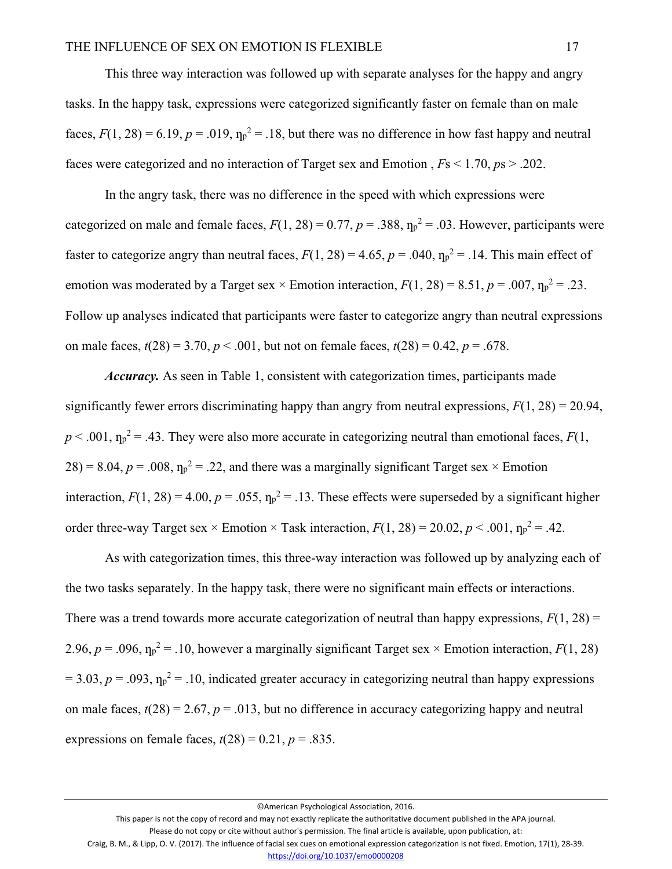This three way interaction was followed up with separate analyses for the happy and angry tasks. In the happy task, expressions were categorized significantly faster on female than on male faces,  $F(1, 28) = 6.19$ ,  $p = .019$ ,  $\eta_p^2 = .18$ , but there was no difference in how fast happy and neutral faces were categorized and no interaction of Target sex and Emotion , *F*s < 1.70, *p*s > .202.

In the angry task, there was no difference in the speed with which expressions were categorized on male and female faces,  $F(1, 28) = 0.77$ ,  $p = .388$ ,  $\eta_p^2 = .03$ . However, participants were faster to categorize angry than neutral faces,  $F(1, 28) = 4.65$ ,  $p = .040$ ,  $\eta_p^2 = .14$ . This main effect of emotion was moderated by a Target sex  $\times$  Emotion interaction,  $F(1, 28) = 8.51$ ,  $p = .007$ ,  $\eta_p^2 = .23$ . Follow up analyses indicated that participants were faster to categorize angry than neutral expressions on male faces,  $t(28) = 3.70$ ,  $p < .001$ , but not on female faces,  $t(28) = 0.42$ ,  $p = .678$ .

*Accuracy.* As seen in Table 1, consistent with categorization times, participants made significantly fewer errors discriminating happy than angry from neutral expressions,  $F(1, 28) = 20.94$ ,  $p < .001$ ,  $\eta_p^2 = .43$ . They were also more accurate in categorizing neutral than emotional faces,  $F(1, 0)$  $28$ ) = 8.04,  $p = .008$ ,  $\eta_p^2 = .22$ , and there was a marginally significant Target sex  $\times$  Emotion interaction,  $F(1, 28) = 4.00$ ,  $p = .055$ ,  $np^2 = .13$ . These effects were superseded by a significant higher order three-way Target sex  $\times$  Emotion  $\times$  Task interaction,  $F(1, 28) = 20.02$ ,  $p < .001$ ,  $\eta_p^2 = .42$ .

As with categorization times, this three-way interaction was followed up by analyzing each of the two tasks separately. In the happy task, there were no significant main effects or interactions. There was a trend towards more accurate categorization of neutral than happy expressions,  $F(1, 28) =$ 2.96,  $p = .096$ ,  $n_p^2 = .10$ , however a marginally significant Target sex  $\times$  Emotion interaction,  $F(1, 28)$  $= 3.03, p = .093, \eta_p^2 = .10$ , indicated greater accuracy in categorizing neutral than happy expressions on male faces,  $t(28) = 2.67$ ,  $p = .013$ , but no difference in accuracy categorizing happy and neutral expressions on female faces,  $t(28) = 0.21$ ,  $p = .835$ .

This paper is not the copy of record and may not exactly replicate the authoritative document published in the APA journal. Please do not copy or cite without author's permission. The final article is available, upon publication, at: Craig, B. M., & Lipp, O. V. (2017). The influence of facial sex cues on emotional expression categorization is not fixed. Emotion, 17(1), 28-39. <https://doi.org/10.1037/emo0000208>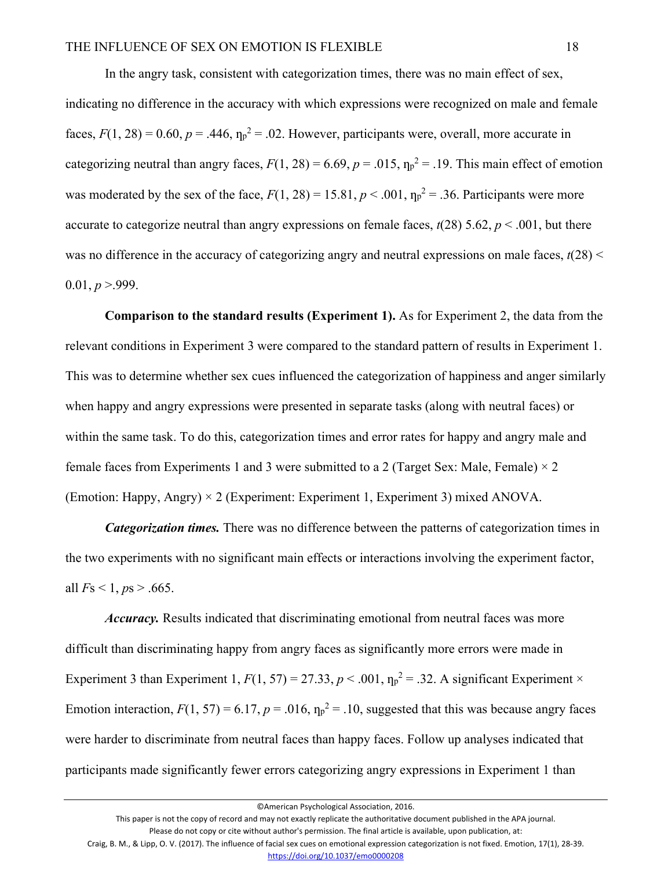In the angry task, consistent with categorization times, there was no main effect of sex, indicating no difference in the accuracy with which expressions were recognized on male and female faces,  $F(1, 28) = 0.60$ ,  $p = .446$ ,  $\eta_p^2 = .02$ . However, participants were, overall, more accurate in categorizing neutral than angry faces,  $F(1, 28) = 6.69$ ,  $p = .015$ ,  $n_p^2 = .19$ . This main effect of emotion was moderated by the sex of the face,  $F(1, 28) = 15.81$ ,  $p < .001$ ,  $np^2 = .36$ . Participants were more accurate to categorize neutral than angry expressions on female faces,  $t(28)$  5.62,  $p < .001$ , but there was no difference in the accuracy of categorizing angry and neutral expressions on male faces, *t*(28) <  $0.01, p > 999.$ 

**Comparison to the standard results (Experiment 1).** As for Experiment 2, the data from the relevant conditions in Experiment 3 were compared to the standard pattern of results in Experiment 1. This was to determine whether sex cues influenced the categorization of happiness and anger similarly when happy and angry expressions were presented in separate tasks (along with neutral faces) or within the same task. To do this, categorization times and error rates for happy and angry male and female faces from Experiments 1 and 3 were submitted to a 2 (Target Sex: Male, Female)  $\times$  2 (Emotion: Happy, Angry)  $\times$  2 (Experiment: Experiment 1, Experiment 3) mixed ANOVA.

*Categorization times.* There was no difference between the patterns of categorization times in the two experiments with no significant main effects or interactions involving the experiment factor, all  $F_s < 1$ ,  $p_s > .665$ .

*Accuracy.* Results indicated that discriminating emotional from neutral faces was more difficult than discriminating happy from angry faces as significantly more errors were made in Experiment 3 than Experiment 1,  $F(1, 57) = 27.33$ ,  $p < .001$ ,  $n_p^2 = .32$ . A significant Experiment  $\times$ Emotion interaction,  $F(1, 57) = 6.17$ ,  $p = .016$ ,  $\eta_p^2 = .10$ , suggested that this was because angry faces were harder to discriminate from neutral faces than happy faces. Follow up analyses indicated that participants made significantly fewer errors categorizing angry expressions in Experiment 1 than

<sup>©</sup>American Psychological Association, 2016.

This paper is not the copy of record and may not exactly replicate the authoritative document published in the APA journal.

Please do not copy or cite without author's permission. The final article is available, upon publication, at: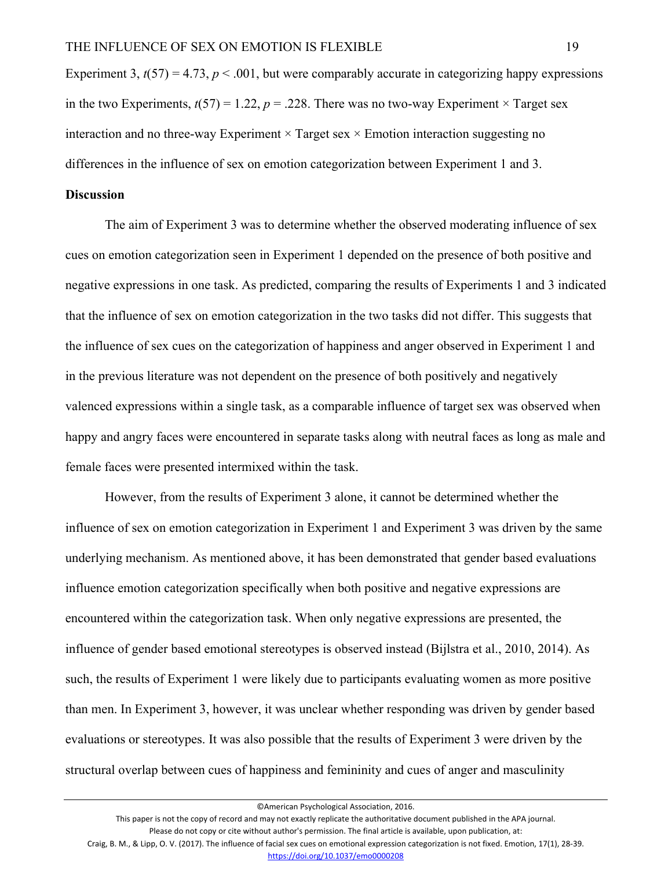Experiment 3,  $t(57) = 4.73$ ,  $p < .001$ , but were comparably accurate in categorizing happy expressions in the two Experiments,  $t(57) = 1.22$ ,  $p = .228$ . There was no two-way Experiment  $\times$  Target sex interaction and no three-way Experiment  $\times$  Target sex  $\times$  Emotion interaction suggesting no differences in the influence of sex on emotion categorization between Experiment 1 and 3.

#### **Discussion**

The aim of Experiment 3 was to determine whether the observed moderating influence of sex cues on emotion categorization seen in Experiment 1 depended on the presence of both positive and negative expressions in one task. As predicted, comparing the results of Experiments 1 and 3 indicated that the influence of sex on emotion categorization in the two tasks did not differ. This suggests that the influence of sex cues on the categorization of happiness and anger observed in Experiment 1 and in the previous literature was not dependent on the presence of both positively and negatively valenced expressions within a single task, as a comparable influence of target sex was observed when happy and angry faces were encountered in separate tasks along with neutral faces as long as male and female faces were presented intermixed within the task.

However, from the results of Experiment 3 alone, it cannot be determined whether the influence of sex on emotion categorization in Experiment 1 and Experiment 3 was driven by the same underlying mechanism. As mentioned above, it has been demonstrated that gender based evaluations influence emotion categorization specifically when both positive and negative expressions are encountered within the categorization task. When only negative expressions are presented, the influence of gender based emotional stereotypes is observed instead (Bijlstra et al., 2010, 2014). As such, the results of Experiment 1 were likely due to participants evaluating women as more positive than men. In Experiment 3, however, it was unclear whether responding was driven by gender based evaluations or stereotypes. It was also possible that the results of Experiment 3 were driven by the structural overlap between cues of happiness and femininity and cues of anger and masculinity

This paper is not the copy of record and may not exactly replicate the authoritative document published in the APA journal.

Please do not copy or cite without author's permission. The final article is available, upon publication, at:

<sup>©</sup>American Psychological Association, 2016.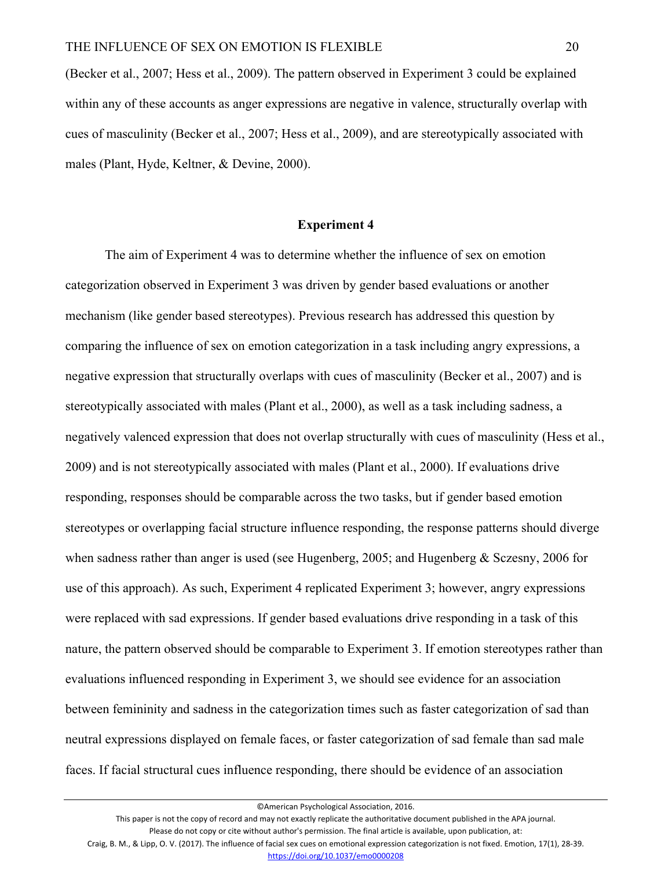(Becker et al., 2007; Hess et al., 2009). The pattern observed in Experiment 3 could be explained within any of these accounts as anger expressions are negative in valence, structurally overlap with cues of masculinity (Becker et al., 2007; Hess et al., 2009), and are stereotypically associated with males (Plant, Hyde, Keltner, & Devine, 2000).

## **Experiment 4**

The aim of Experiment 4 was to determine whether the influence of sex on emotion categorization observed in Experiment 3 was driven by gender based evaluations or another mechanism (like gender based stereotypes). Previous research has addressed this question by comparing the influence of sex on emotion categorization in a task including angry expressions, a negative expression that structurally overlaps with cues of masculinity (Becker et al., 2007) and is stereotypically associated with males (Plant et al., 2000), as well as a task including sadness, a negatively valenced expression that does not overlap structurally with cues of masculinity (Hess et al., 2009) and is not stereotypically associated with males (Plant et al., 2000). If evaluations drive responding, responses should be comparable across the two tasks, but if gender based emotion stereotypes or overlapping facial structure influence responding, the response patterns should diverge when sadness rather than anger is used (see Hugenberg, 2005; and Hugenberg & Sczesny, 2006 for use of this approach). As such, Experiment 4 replicated Experiment 3; however, angry expressions were replaced with sad expressions. If gender based evaluations drive responding in a task of this nature, the pattern observed should be comparable to Experiment 3. If emotion stereotypes rather than evaluations influenced responding in Experiment 3, we should see evidence for an association between femininity and sadness in the categorization times such as faster categorization of sad than neutral expressions displayed on female faces, or faster categorization of sad female than sad male faces. If facial structural cues influence responding, there should be evidence of an association

<sup>©</sup>American Psychological Association, 2016.

This paper is not the copy of record and may not exactly replicate the authoritative document published in the APA journal.

Please do not copy or cite without author's permission. The final article is available, upon publication, at: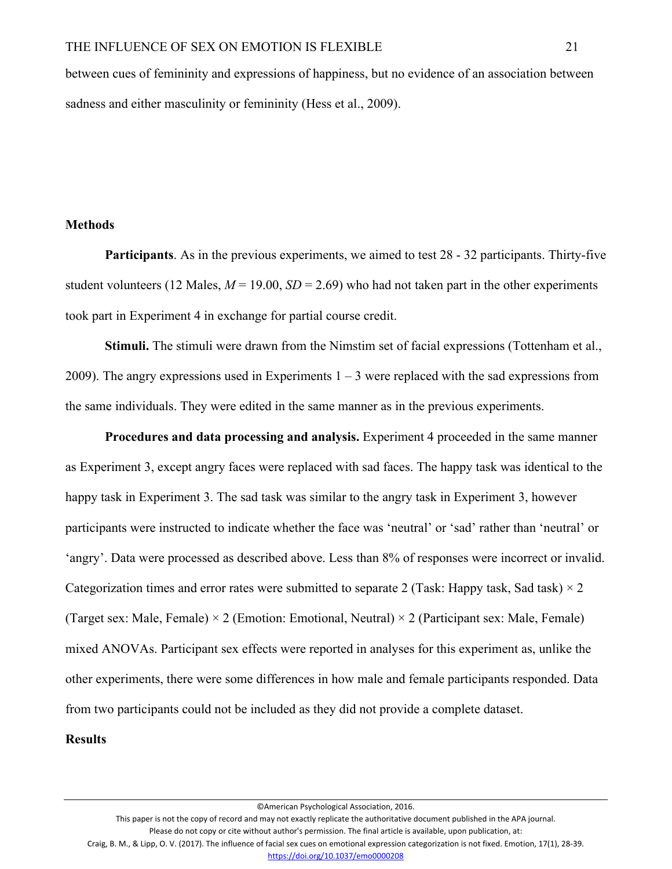between cues of femininity and expressions of happiness, but no evidence of an association between sadness and either masculinity or femininity (Hess et al., 2009).

## **Methods**

**Participants**. As in the previous experiments, we aimed to test 28 - 32 participants. Thirty-five student volunteers (12 Males,  $M = 19.00$ ,  $SD = 2.69$ ) who had not taken part in the other experiments took part in Experiment 4 in exchange for partial course credit.

**Stimuli.** The stimuli were drawn from the Nimstim set of facial expressions (Tottenham et al., 2009). The angry expressions used in Experiments  $1 - 3$  were replaced with the sad expressions from the same individuals. They were edited in the same manner as in the previous experiments.

**Procedures and data processing and analysis.** Experiment 4 proceeded in the same manner as Experiment 3, except angry faces were replaced with sad faces. The happy task was identical to the happy task in Experiment 3. The sad task was similar to the angry task in Experiment 3, however participants were instructed to indicate whether the face was 'neutral' or 'sad' rather than 'neutral' or 'angry'. Data were processed as described above. Less than 8% of responses were incorrect or invalid. Categorization times and error rates were submitted to separate 2 (Task: Happy task, Sad task)  $\times$  2 (Target sex: Male, Female)  $\times$  2 (Emotion: Emotional, Neutral)  $\times$  2 (Participant sex: Male, Female) mixed ANOVAs. Participant sex effects were reported in analyses for this experiment as, unlike the other experiments, there were some differences in how male and female participants responded. Data from two participants could not be included as they did not provide a complete dataset.

### **Results**

<sup>©</sup>American Psychological Association, 2016.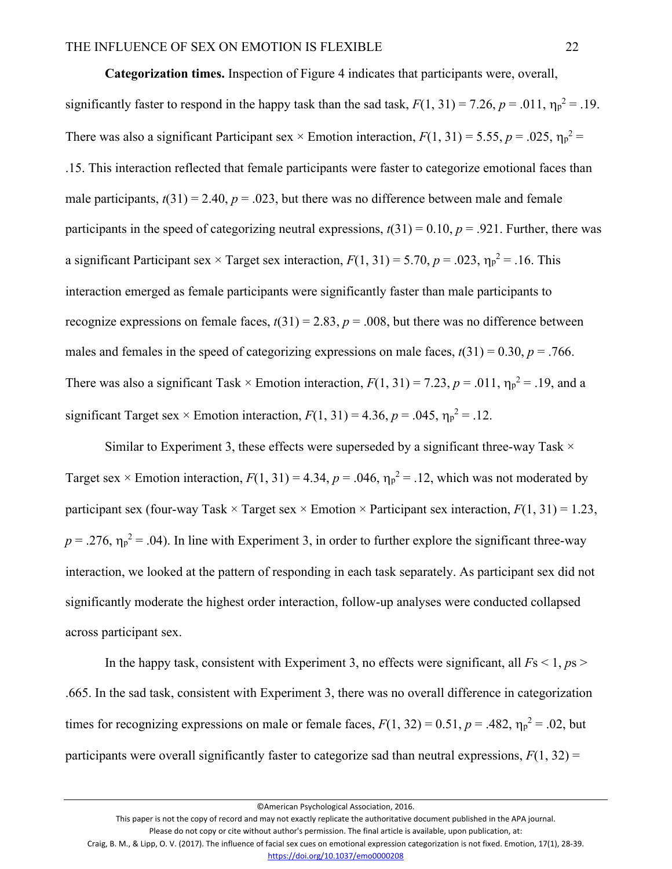**Categorization times.** Inspection of Figure 4 indicates that participants were, overall, significantly faster to respond in the happy task than the sad task,  $F(1, 31) = 7.26$ ,  $p = .011$ ,  $\eta_p^2 = .19$ . There was also a significant Participant sex  $\times$  Emotion interaction,  $F(1, 31) = 5.55$ ,  $p = .025$ ,  $\eta_p^2 =$ .15. This interaction reflected that female participants were faster to categorize emotional faces than male participants,  $t(31) = 2.40$ ,  $p = .023$ , but there was no difference between male and female participants in the speed of categorizing neutral expressions,  $t(31) = 0.10$ ,  $p = .921$ . Further, there was a significant Participant sex  $\times$  Target sex interaction,  $F(1, 31) = 5.70$ ,  $p = .023$ ,  $\eta_p^2 = .16$ . This interaction emerged as female participants were significantly faster than male participants to recognize expressions on female faces,  $t(31) = 2.83$ ,  $p = .008$ , but there was no difference between males and females in the speed of categorizing expressions on male faces,  $t(31) = 0.30$ ,  $p = .766$ . There was also a significant Task  $\times$  Emotion interaction,  $F(1, 31) = 7.23$ ,  $p = .011$ ,  $\eta_p^2 = .19$ , and a significant Target sex  $\times$  Emotion interaction,  $F(1, 31) = 4.36$ ,  $p = .045$ ,  $\eta_p^2 = .12$ .

Similar to Experiment 3, these effects were superseded by a significant three-way Task  $\times$ Target sex  $\times$  Emotion interaction,  $F(1, 31) = 4.34$ ,  $p = .046$ ,  $\eta_p^2 = .12$ , which was not moderated by participant sex (four-way Task  $\times$  Target sex  $\times$  Emotion  $\times$  Participant sex interaction,  $F(1, 31) = 1.23$ ,  $p = .276$ ,  $\eta_p^2 = .04$ ). In line with Experiment 3, in order to further explore the significant three-way interaction, we looked at the pattern of responding in each task separately. As participant sex did not significantly moderate the highest order interaction, follow-up analyses were conducted collapsed across participant sex.

In the happy task, consistent with Experiment 3, no effects were significant, all *F*s < 1, *p*s > .665. In the sad task, consistent with Experiment 3, there was no overall difference in categorization times for recognizing expressions on male or female faces,  $F(1, 32) = 0.51$ ,  $p = .482$ ,  $\eta_p^2 = .02$ , but participants were overall significantly faster to categorize sad than neutral expressions,  $F(1, 32) =$ 

This paper is not the copy of record and may not exactly replicate the authoritative document published in the APA journal.

Please do not copy or cite without author's permission. The final article is available, upon publication, at:

<sup>©</sup>American Psychological Association, 2016.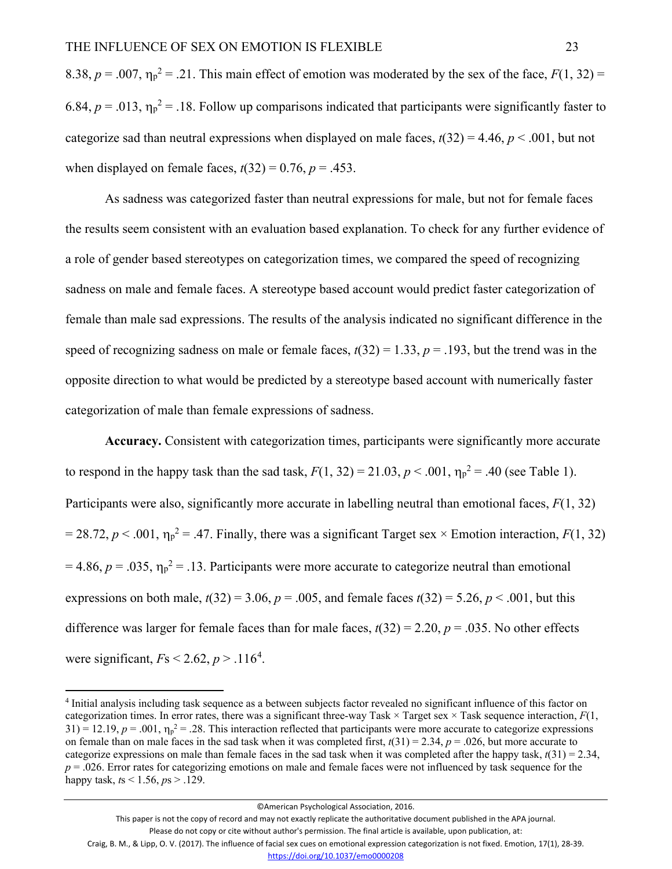8.38,  $p = .007$ ,  $\eta_p^2 = .21$ . This main effect of emotion was moderated by the sex of the face,  $F(1, 32) =$ 6.84,  $p = .013$ ,  $\eta_p^2 = .18$ . Follow up comparisons indicated that participants were significantly faster to categorize sad than neutral expressions when displayed on male faces,  $t(32) = 4.46$ ,  $p < .001$ , but not when displayed on female faces,  $t(32) = 0.76$ ,  $p = .453$ .

As sadness was categorized faster than neutral expressions for male, but not for female faces the results seem consistent with an evaluation based explanation. To check for any further evidence of a role of gender based stereotypes on categorization times, we compared the speed of recognizing sadness on male and female faces. A stereotype based account would predict faster categorization of female than male sad expressions. The results of the analysis indicated no significant difference in the speed of recognizing sadness on male or female faces,  $t(32) = 1.33$ ,  $p = .193$ , but the trend was in the opposite direction to what would be predicted by a stereotype based account with numerically faster categorization of male than female expressions of sadness.

**Accuracy.** Consistent with categorization times, participants were significantly more accurate to respond in the happy task than the sad task,  $F(1, 32) = 21.03$ ,  $p < .001$ ,  $\eta_p^2 = .40$  (see Table 1). Participants were also, significantly more accurate in labelling neutral than emotional faces, *F*(1, 32)  $= 28.72, p < .001, \eta_p^2 = .47$ . Finally, there was a significant Target sex  $\times$  Emotion interaction,  $F(1, 32)$  $= 4.86, p = .035, \eta_p^2 = .13$ . Participants were more accurate to categorize neutral than emotional expressions on both male,  $t(32) = 3.06$ ,  $p = .005$ , and female faces  $t(32) = 5.26$ ,  $p < .001$ , but this difference was larger for female faces than for male faces,  $t(32) = 2.20$ ,  $p = .035$ . No other effects were significant,  $Fs < 2.62, p > .116<sup>4</sup>$  $Fs < 2.62, p > .116<sup>4</sup>$  $Fs < 2.62, p > .116<sup>4</sup>$ .

<span id="page-23-0"></span><sup>4</sup> Initial analysis including task sequence as a between subjects factor revealed no significant influence of this factor on categorization times. In error rates, there was a significant three-way Task  $\times$  Target sex  $\times$  Task sequence interaction,  $F(1, 1)$  $31$ ) = 12.19,  $p = .001$ ,  $\eta_p^2 = .28$ . This interaction reflected that participants were more accurate to categorize expressions on female than on male faces in the sad task when it was completed first,  $t(31) = 2.34$ ,  $p = .026$ , but more accurate to categorize expressions on male than female faces in the sad task when it was completed after the happy task, *t*(31) = 2.34, *p* = .026. Error rates for categorizing emotions on male and female faces were not influenced by task sequence for the happy task, *t*s < 1.56, *p*s > .129.

<sup>©</sup>American Psychological Association, 2016.

This paper is not the copy of record and may not exactly replicate the authoritative document published in the APA journal.

Please do not copy or cite without author's permission. The final article is available, upon publication, at:

<https://doi.org/10.1037/emo0000208>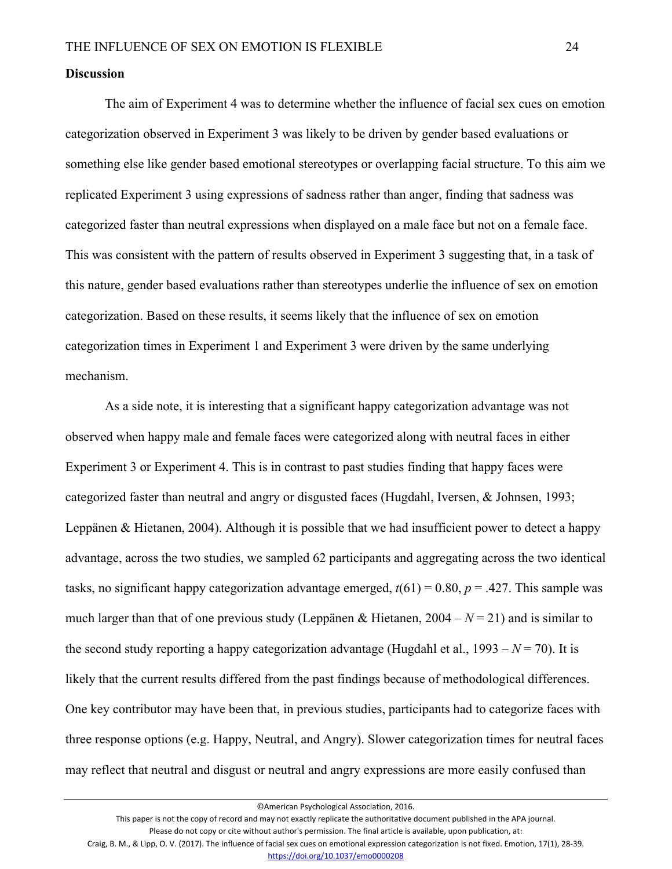### **Discussion**

The aim of Experiment 4 was to determine whether the influence of facial sex cues on emotion categorization observed in Experiment 3 was likely to be driven by gender based evaluations or something else like gender based emotional stereotypes or overlapping facial structure. To this aim we replicated Experiment 3 using expressions of sadness rather than anger, finding that sadness was categorized faster than neutral expressions when displayed on a male face but not on a female face. This was consistent with the pattern of results observed in Experiment 3 suggesting that, in a task of this nature, gender based evaluations rather than stereotypes underlie the influence of sex on emotion categorization. Based on these results, it seems likely that the influence of sex on emotion categorization times in Experiment 1 and Experiment 3 were driven by the same underlying mechanism.

As a side note, it is interesting that a significant happy categorization advantage was not observed when happy male and female faces were categorized along with neutral faces in either Experiment 3 or Experiment 4. This is in contrast to past studies finding that happy faces were categorized faster than neutral and angry or disgusted faces (Hugdahl, Iversen, & Johnsen, 1993; Leppänen & Hietanen, 2004). Although it is possible that we had insufficient power to detect a happy advantage, across the two studies, we sampled 62 participants and aggregating across the two identical tasks, no significant happy categorization advantage emerged,  $t(61) = 0.80$ ,  $p = .427$ . This sample was much larger than that of one previous study (Leppänen & Hietanen,  $2004 - N = 21$ ) and is similar to the second study reporting a happy categorization advantage (Hugdahl et al.,  $1993 - N = 70$ ). It is likely that the current results differed from the past findings because of methodological differences. One key contributor may have been that, in previous studies, participants had to categorize faces with three response options (e.g. Happy, Neutral, and Angry). Slower categorization times for neutral faces may reflect that neutral and disgust or neutral and angry expressions are more easily confused than

©American Psychological Association, 2016.

This paper is not the copy of record and may not exactly replicate the authoritative document published in the APA journal.

Please do not copy or cite without author's permission. The final article is available, upon publication, at: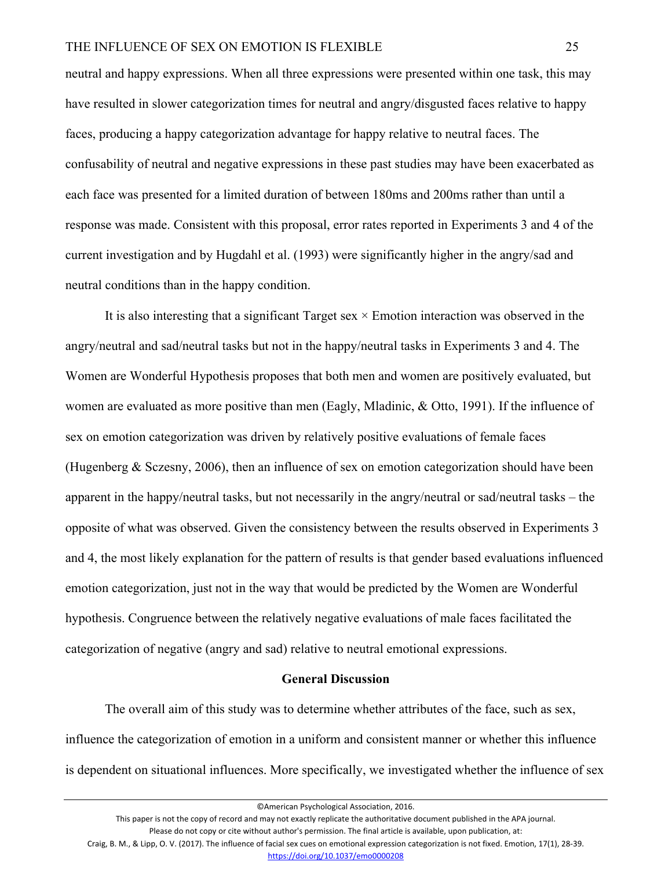neutral and happy expressions. When all three expressions were presented within one task, this may have resulted in slower categorization times for neutral and angry/disgusted faces relative to happy faces, producing a happy categorization advantage for happy relative to neutral faces. The confusability of neutral and negative expressions in these past studies may have been exacerbated as each face was presented for a limited duration of between 180ms and 200ms rather than until a response was made. Consistent with this proposal, error rates reported in Experiments 3 and 4 of the current investigation and by Hugdahl et al. (1993) were significantly higher in the angry/sad and neutral conditions than in the happy condition.

It is also interesting that a significant Target sex  $\times$  Emotion interaction was observed in the angry/neutral and sad/neutral tasks but not in the happy/neutral tasks in Experiments 3 and 4. The Women are Wonderful Hypothesis proposes that both men and women are positively evaluated, but women are evaluated as more positive than men (Eagly, Mladinic, & Otto, 1991). If the influence of sex on emotion categorization was driven by relatively positive evaluations of female faces (Hugenberg & Sczesny, 2006), then an influence of sex on emotion categorization should have been apparent in the happy/neutral tasks, but not necessarily in the angry/neutral or sad/neutral tasks – the opposite of what was observed. Given the consistency between the results observed in Experiments 3 and 4, the most likely explanation for the pattern of results is that gender based evaluations influenced emotion categorization, just not in the way that would be predicted by the Women are Wonderful hypothesis. Congruence between the relatively negative evaluations of male faces facilitated the categorization of negative (angry and sad) relative to neutral emotional expressions.

#### **General Discussion**

The overall aim of this study was to determine whether attributes of the face, such as sex, influence the categorization of emotion in a uniform and consistent manner or whether this influence is dependent on situational influences. More specifically, we investigated whether the influence of sex

This paper is not the copy of record and may not exactly replicate the authoritative document published in the APA journal.

Please do not copy or cite without author's permission. The final article is available, upon publication, at:

<sup>©</sup>American Psychological Association, 2016.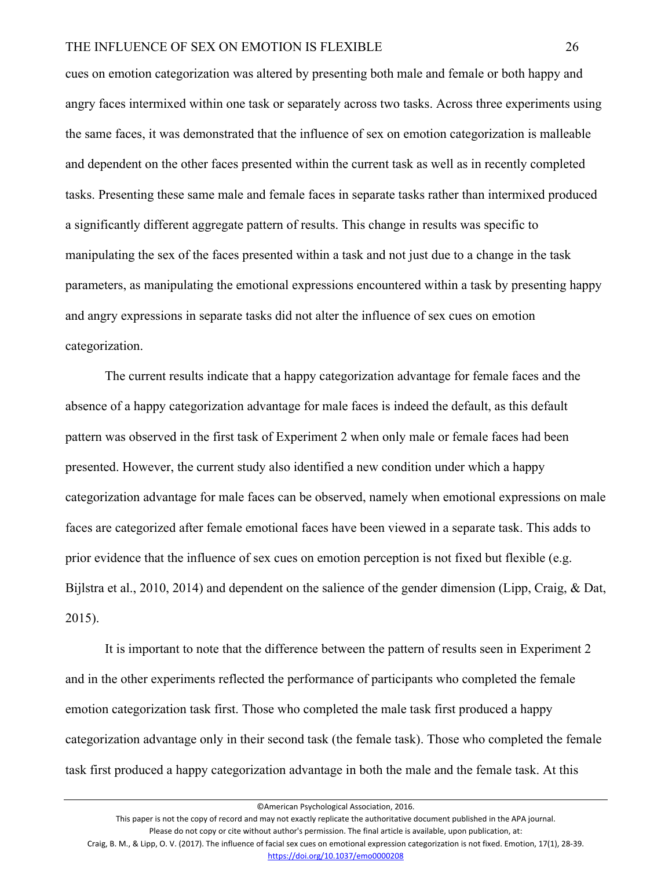cues on emotion categorization was altered by presenting both male and female or both happy and angry faces intermixed within one task or separately across two tasks. Across three experiments using the same faces, it was demonstrated that the influence of sex on emotion categorization is malleable and dependent on the other faces presented within the current task as well as in recently completed tasks. Presenting these same male and female faces in separate tasks rather than intermixed produced a significantly different aggregate pattern of results. This change in results was specific to manipulating the sex of the faces presented within a task and not just due to a change in the task parameters, as manipulating the emotional expressions encountered within a task by presenting happy and angry expressions in separate tasks did not alter the influence of sex cues on emotion categorization.

The current results indicate that a happy categorization advantage for female faces and the absence of a happy categorization advantage for male faces is indeed the default, as this default pattern was observed in the first task of Experiment 2 when only male or female faces had been presented. However, the current study also identified a new condition under which a happy categorization advantage for male faces can be observed, namely when emotional expressions on male faces are categorized after female emotional faces have been viewed in a separate task. This adds to prior evidence that the influence of sex cues on emotion perception is not fixed but flexible (e.g. Bijlstra et al., 2010, 2014) and dependent on the salience of the gender dimension (Lipp, Craig, & Dat, 2015).

It is important to note that the difference between the pattern of results seen in Experiment 2 and in the other experiments reflected the performance of participants who completed the female emotion categorization task first. Those who completed the male task first produced a happy categorization advantage only in their second task (the female task). Those who completed the female task first produced a happy categorization advantage in both the male and the female task. At this

This paper is not the copy of record and may not exactly replicate the authoritative document published in the APA journal.

Please do not copy or cite without author's permission. The final article is available, upon publication, at:

<sup>©</sup>American Psychological Association, 2016.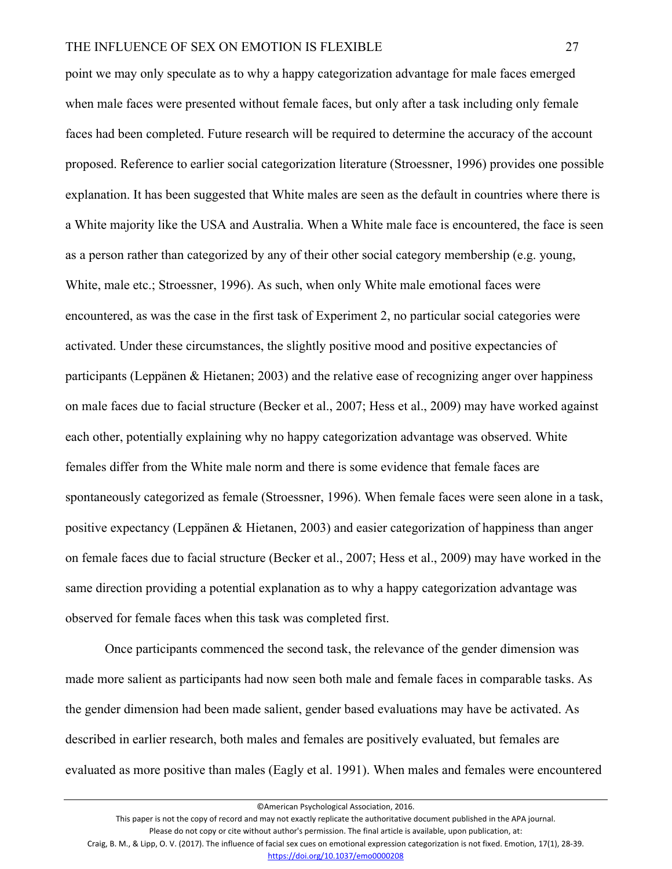point we may only speculate as to why a happy categorization advantage for male faces emerged when male faces were presented without female faces, but only after a task including only female faces had been completed. Future research will be required to determine the accuracy of the account proposed. Reference to earlier social categorization literature (Stroessner, 1996) provides one possible explanation. It has been suggested that White males are seen as the default in countries where there is a White majority like the USA and Australia. When a White male face is encountered, the face is seen as a person rather than categorized by any of their other social category membership (e.g. young, White, male etc.; Stroessner, 1996). As such, when only White male emotional faces were encountered, as was the case in the first task of Experiment 2, no particular social categories were activated. Under these circumstances, the slightly positive mood and positive expectancies of participants (Leppänen & Hietanen; 2003) and the relative ease of recognizing anger over happiness on male faces due to facial structure (Becker et al., 2007; Hess et al., 2009) may have worked against each other, potentially explaining why no happy categorization advantage was observed. White females differ from the White male norm and there is some evidence that female faces are spontaneously categorized as female (Stroessner, 1996). When female faces were seen alone in a task, positive expectancy (Leppänen & Hietanen, 2003) and easier categorization of happiness than anger on female faces due to facial structure (Becker et al., 2007; Hess et al., 2009) may have worked in the same direction providing a potential explanation as to why a happy categorization advantage was observed for female faces when this task was completed first.

Once participants commenced the second task, the relevance of the gender dimension was made more salient as participants had now seen both male and female faces in comparable tasks. As the gender dimension had been made salient, gender based evaluations may have be activated. As described in earlier research, both males and females are positively evaluated, but females are evaluated as more positive than males (Eagly et al. 1991). When males and females were encountered

<sup>©</sup>American Psychological Association, 2016.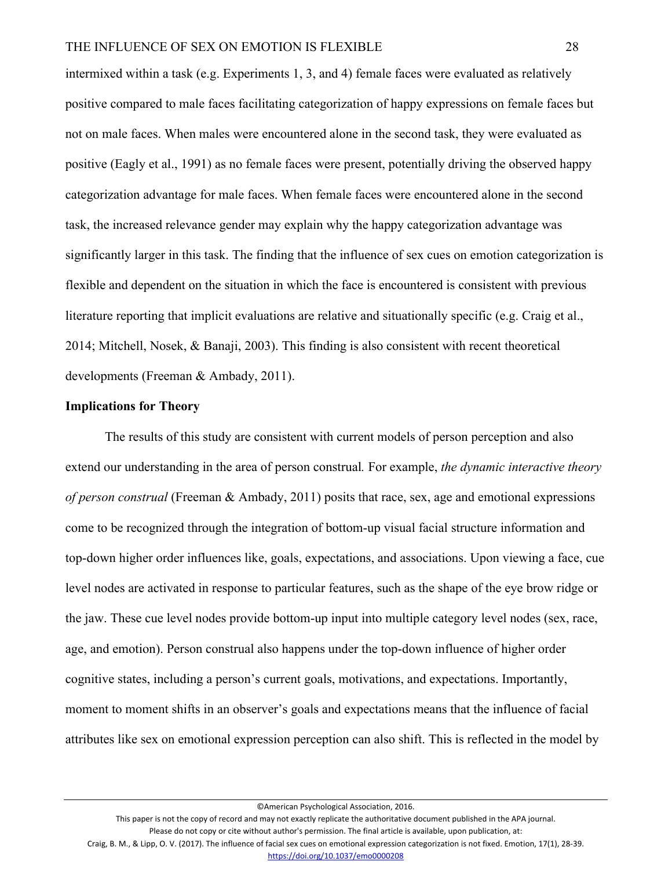intermixed within a task (e.g. Experiments 1, 3, and 4) female faces were evaluated as relatively positive compared to male faces facilitating categorization of happy expressions on female faces but not on male faces. When males were encountered alone in the second task, they were evaluated as positive (Eagly et al., 1991) as no female faces were present, potentially driving the observed happy categorization advantage for male faces. When female faces were encountered alone in the second task, the increased relevance gender may explain why the happy categorization advantage was significantly larger in this task. The finding that the influence of sex cues on emotion categorization is flexible and dependent on the situation in which the face is encountered is consistent with previous literature reporting that implicit evaluations are relative and situationally specific (e.g. Craig et al., 2014; Mitchell, Nosek, & Banaji, 2003). This finding is also consistent with recent theoretical developments (Freeman & Ambady, 2011).

## **Implications for Theory**

The results of this study are consistent with current models of person perception and also extend our understanding in the area of person construal*.* For example, *the dynamic interactive theory of person construal* (Freeman & Ambady, 2011) posits that race, sex, age and emotional expressions come to be recognized through the integration of bottom-up visual facial structure information and top-down higher order influences like, goals, expectations, and associations. Upon viewing a face, cue level nodes are activated in response to particular features, such as the shape of the eye brow ridge or the jaw. These cue level nodes provide bottom-up input into multiple category level nodes (sex, race, age, and emotion). Person construal also happens under the top-down influence of higher order cognitive states, including a person's current goals, motivations, and expectations. Importantly, moment to moment shifts in an observer's goals and expectations means that the influence of facial attributes like sex on emotional expression perception can also shift. This is reflected in the model by

This paper is not the copy of record and may not exactly replicate the authoritative document published in the APA journal.

Please do not copy or cite without author's permission. The final article is available, upon publication, at:

Craig, B. M., & Lipp, O. V. (2017). The influence of facial sex cues on emotional expression categorization is not fixed. Emotion, 17(1), 28-39.

<sup>©</sup>American Psychological Association, 2016.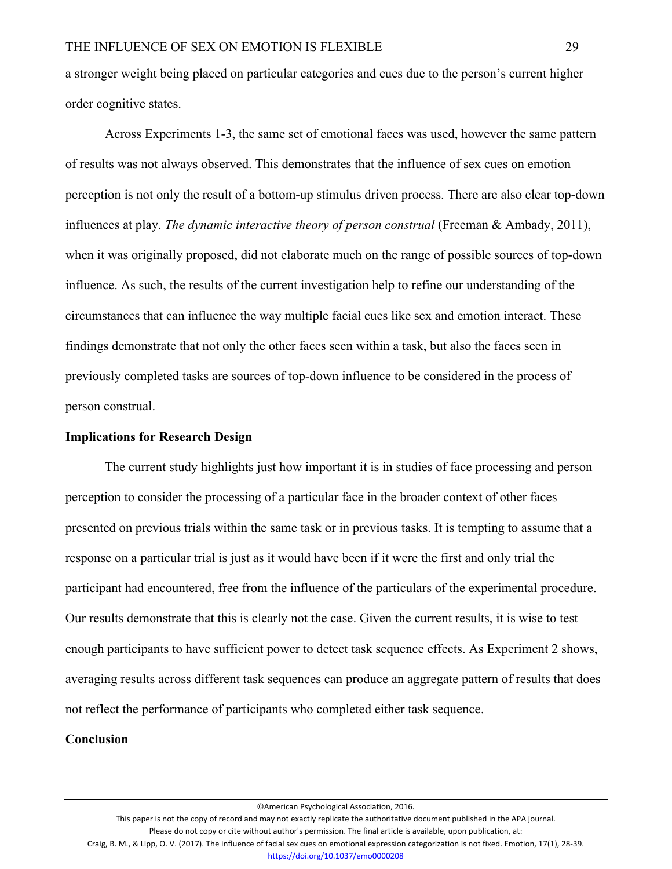a stronger weight being placed on particular categories and cues due to the person's current higher order cognitive states.

Across Experiments 1-3, the same set of emotional faces was used, however the same pattern of results was not always observed. This demonstrates that the influence of sex cues on emotion perception is not only the result of a bottom-up stimulus driven process. There are also clear top-down influences at play. *The dynamic interactive theory of person construal* (Freeman & Ambady, 2011), when it was originally proposed, did not elaborate much on the range of possible sources of top-down influence. As such, the results of the current investigation help to refine our understanding of the circumstances that can influence the way multiple facial cues like sex and emotion interact. These findings demonstrate that not only the other faces seen within a task, but also the faces seen in previously completed tasks are sources of top-down influence to be considered in the process of person construal.

## **Implications for Research Design**

The current study highlights just how important it is in studies of face processing and person perception to consider the processing of a particular face in the broader context of other faces presented on previous trials within the same task or in previous tasks. It is tempting to assume that a response on a particular trial is just as it would have been if it were the first and only trial the participant had encountered, free from the influence of the particulars of the experimental procedure. Our results demonstrate that this is clearly not the case. Given the current results, it is wise to test enough participants to have sufficient power to detect task sequence effects. As Experiment 2 shows, averaging results across different task sequences can produce an aggregate pattern of results that does not reflect the performance of participants who completed either task sequence.

## **Conclusion**

<sup>©</sup>American Psychological Association, 2016.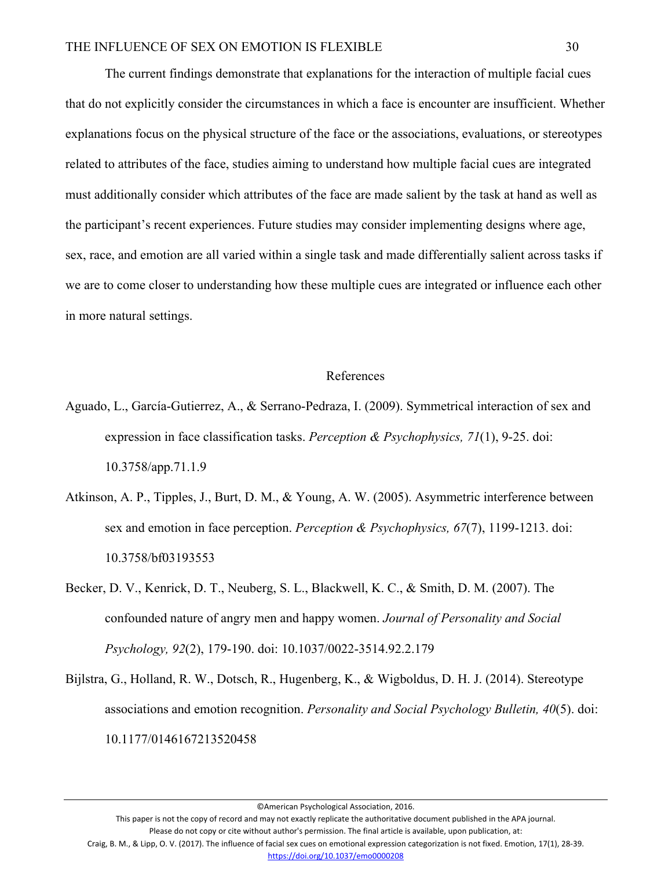The current findings demonstrate that explanations for the interaction of multiple facial cues that do not explicitly consider the circumstances in which a face is encounter are insufficient. Whether explanations focus on the physical structure of the face or the associations, evaluations, or stereotypes related to attributes of the face, studies aiming to understand how multiple facial cues are integrated must additionally consider which attributes of the face are made salient by the task at hand as well as the participant's recent experiences. Future studies may consider implementing designs where age, sex, race, and emotion are all varied within a single task and made differentially salient across tasks if we are to come closer to understanding how these multiple cues are integrated or influence each other in more natural settings.

### References

- Aguado, L., García-Gutierrez, A., & Serrano-Pedraza, I. (2009). Symmetrical interaction of sex and expression in face classification tasks. *Perception & Psychophysics, 71*(1), 9-25. doi: 10.3758/app.71.1.9
- Atkinson, A. P., Tipples, J., Burt, D. M., & Young, A. W. (2005). Asymmetric interference between sex and emotion in face perception. *Perception & Psychophysics, 67*(7), 1199-1213. doi: 10.3758/bf03193553
- Becker, D. V., Kenrick, D. T., Neuberg, S. L., Blackwell, K. C., & Smith, D. M. (2007). The confounded nature of angry men and happy women. *Journal of Personality and Social Psychology, 92*(2), 179-190. doi: 10.1037/0022-3514.92.2.179
- Bijlstra, G., Holland, R. W., Dotsch, R., Hugenberg, K., & Wigboldus, D. H. J. (2014). Stereotype associations and emotion recognition. *Personality and Social Psychology Bulletin, 40*(5). doi: 10.1177/0146167213520458

<sup>©</sup>American Psychological Association, 2016.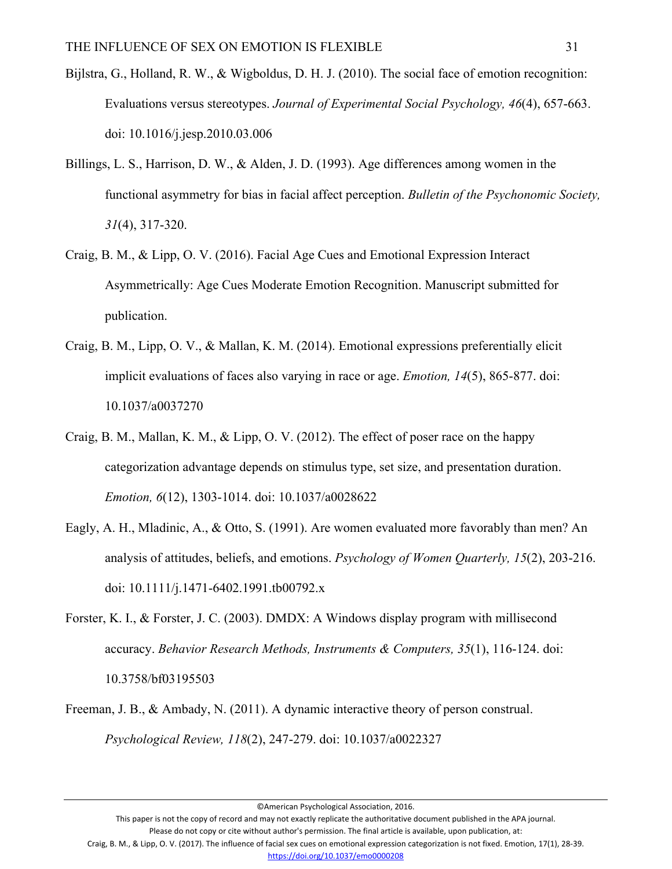- Bijlstra, G., Holland, R. W., & Wigboldus, D. H. J. (2010). The social face of emotion recognition: Evaluations versus stereotypes. *Journal of Experimental Social Psychology, 46*(4), 657-663. doi: 10.1016/j.jesp.2010.03.006
- Billings, L. S., Harrison, D. W., & Alden, J. D. (1993). Age differences among women in the functional asymmetry for bias in facial affect perception. *Bulletin of the Psychonomic Society, 31*(4), 317-320.
- Craig, B. M., & Lipp, O. V. (2016). Facial Age Cues and Emotional Expression Interact Asymmetrically: Age Cues Moderate Emotion Recognition. Manuscript submitted for publication.
- Craig, B. M., Lipp, O. V., & Mallan, K. M. (2014). Emotional expressions preferentially elicit implicit evaluations of faces also varying in race or age. *Emotion, 14*(5), 865-877. doi: 10.1037/a0037270
- Craig, B. M., Mallan, K. M., & Lipp, O. V. (2012). The effect of poser race on the happy categorization advantage depends on stimulus type, set size, and presentation duration. *Emotion, 6*(12), 1303-1014. doi: 10.1037/a0028622
- Eagly, A. H., Mladinic, A., & Otto, S. (1991). Are women evaluated more favorably than men? An analysis of attitudes, beliefs, and emotions. *Psychology of Women Quarterly, 15*(2), 203-216. doi: 10.1111/j.1471-6402.1991.tb00792.x
- Forster, K. I., & Forster, J. C. (2003). DMDX: A Windows display program with millisecond accuracy. *Behavior Research Methods, Instruments & Computers, 35*(1), 116-124. doi: 10.3758/bf03195503
- Freeman, J. B., & Ambady, N. (2011). A dynamic interactive theory of person construal. *Psychological Review, 118*(2), 247-279. doi: 10.1037/a0022327

<sup>©</sup>American Psychological Association, 2016.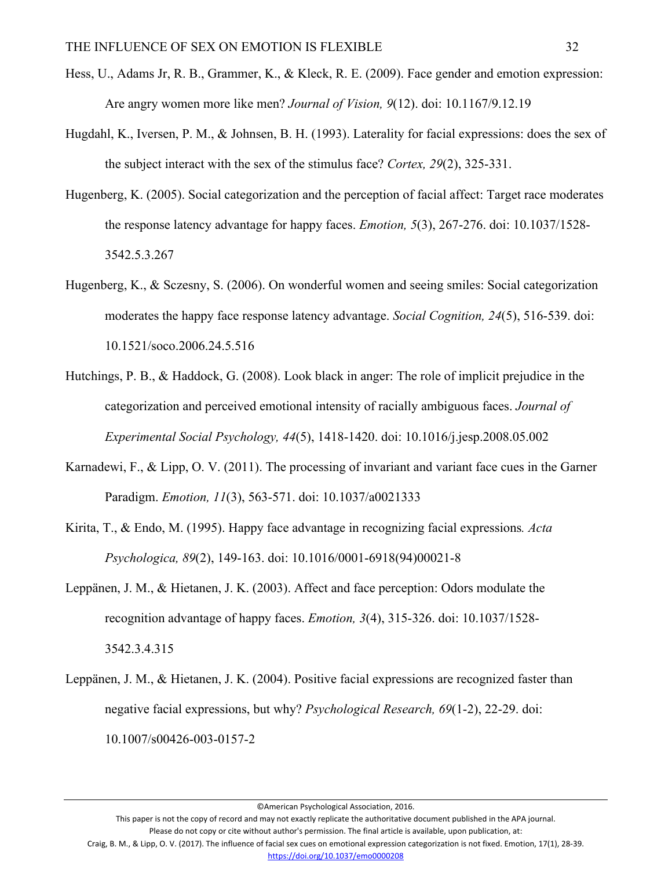- Hess, U., Adams Jr, R. B., Grammer, K., & Kleck, R. E. (2009). Face gender and emotion expression: Are angry women more like men? *Journal of Vision, 9*(12). doi: 10.1167/9.12.19
- Hugdahl, K., Iversen, P. M., & Johnsen, B. H. (1993). Laterality for facial expressions: does the sex of the subject interact with the sex of the stimulus face? *Cortex, 29*(2), 325-331.
- Hugenberg, K. (2005). Social categorization and the perception of facial affect: Target race moderates the response latency advantage for happy faces. *Emotion, 5*(3), 267-276. doi: 10.1037/1528- 3542.5.3.267
- Hugenberg, K., & Sczesny, S. (2006). On wonderful women and seeing smiles: Social categorization moderates the happy face response latency advantage. *Social Cognition, 24*(5), 516-539. doi: 10.1521/soco.2006.24.5.516
- Hutchings, P. B., & Haddock, G. (2008). Look black in anger: The role of implicit prejudice in the categorization and perceived emotional intensity of racially ambiguous faces. *Journal of Experimental Social Psychology, 44*(5), 1418-1420. doi: 10.1016/j.jesp.2008.05.002
- Karnadewi, F., & Lipp, O. V. (2011). The processing of invariant and variant face cues in the Garner Paradigm. *Emotion, 11*(3), 563-571. doi: 10.1037/a0021333
- Kirita, T., & Endo, M. (1995). Happy face advantage in recognizing facial expressions*. Acta Psychologica, 89*(2), 149-163. doi: 10.1016/0001-6918(94)00021-8
- Leppänen, J. M., & Hietanen, J. K. (2003). Affect and face perception: Odors modulate the recognition advantage of happy faces. *Emotion, 3*(4), 315-326. doi: 10.1037/1528- 3542.3.4.315
- Leppänen, J. M., & Hietanen, J. K. (2004). Positive facial expressions are recognized faster than negative facial expressions, but why? *Psychological Research, 69*(1-2), 22-29. doi: 10.1007/s00426-003-0157-2

<sup>©</sup>American Psychological Association, 2016.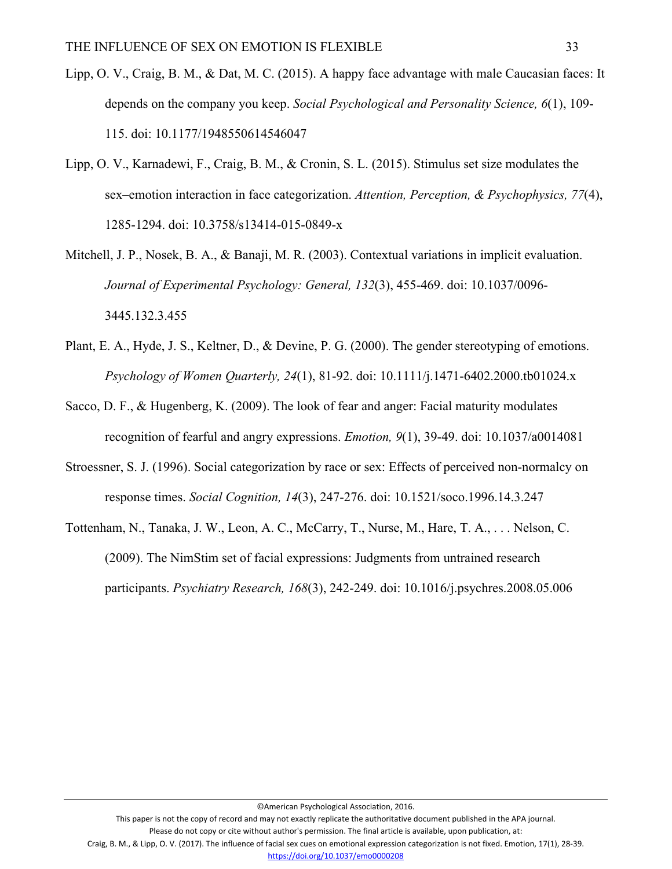- Lipp, O. V., Craig, B. M., & Dat, M. C. (2015). A happy face advantage with male Caucasian faces: It depends on the company you keep. *Social Psychological and Personality Science, 6*(1), 109- 115. doi: 10.1177/1948550614546047
- Lipp, O. V., Karnadewi, F., Craig, B. M., & Cronin, S. L. (2015). Stimulus set size modulates the sex–emotion interaction in face categorization. *Attention, Perception, & Psychophysics, 77*(4), 1285-1294. doi: 10.3758/s13414-015-0849-x
- Mitchell, J. P., Nosek, B. A., & Banaji, M. R. (2003). Contextual variations in implicit evaluation. *Journal of Experimental Psychology: General, 132*(3), 455-469. doi: 10.1037/0096- 3445.132.3.455
- Plant, E. A., Hyde, J. S., Keltner, D., & Devine, P. G. (2000). The gender stereotyping of emotions. *Psychology of Women Quarterly, 24*(1), 81-92. doi: 10.1111/j.1471-6402.2000.tb01024.x
- Sacco, D. F., & Hugenberg, K. (2009). The look of fear and anger: Facial maturity modulates recognition of fearful and angry expressions. *Emotion, 9*(1), 39-49. doi: 10.1037/a0014081
- Stroessner, S. J. (1996). Social categorization by race or sex: Effects of perceived non-normalcy on response times. *Social Cognition, 14*(3), 247-276. doi: 10.1521/soco.1996.14.3.247
- Tottenham, N., Tanaka, J. W., Leon, A. C., McCarry, T., Nurse, M., Hare, T. A., . . . Nelson, C. (2009). The NimStim set of facial expressions: Judgments from untrained research participants. *Psychiatry Research, 168*(3), 242-249. doi: 10.1016/j.psychres.2008.05.006

Please do not copy or cite without author's permission. The final article is available, upon publication, at:

Craig, B. M., & Lipp, O. V. (2017). The influence of facial sex cues on emotional expression categorization is not fixed. Emotion, 17(1), 28-39.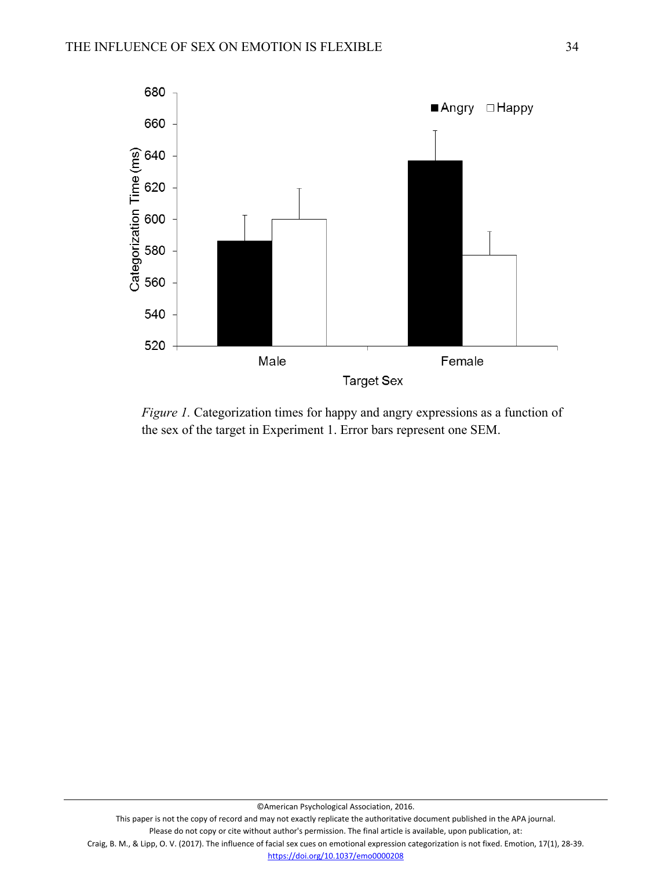

*Figure 1.* Categorization times for happy and angry expressions as a function of the sex of the target in Experiment 1. Error bars represent one SEM.

Please do not copy or cite without author's permission. The final article is available, upon publication, at:

Craig, B. M., & Lipp, O. V. (2017). The influence of facial sex cues on emotional expression categorization is not fixed. Emotion, 17(1), 28-39.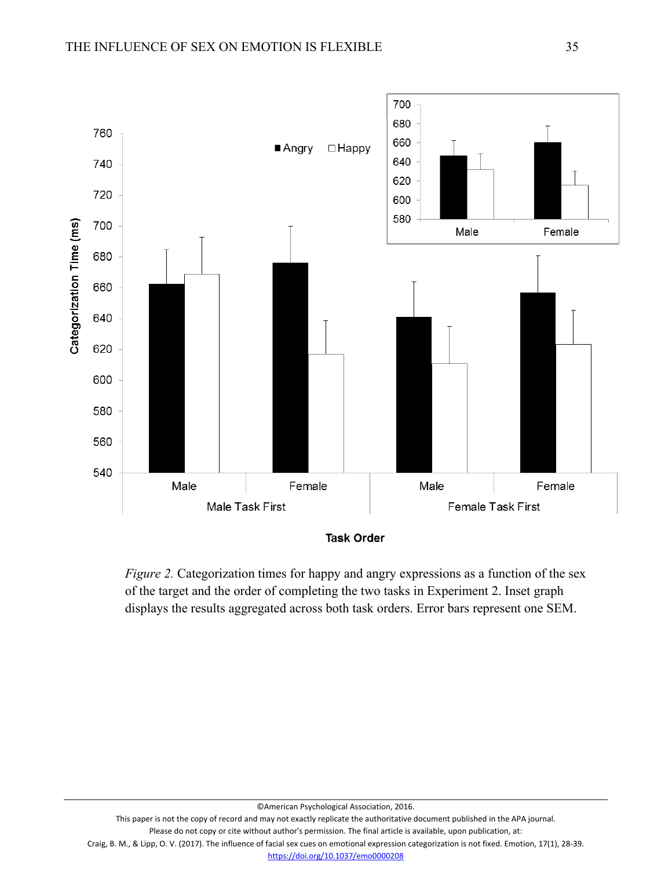

*Figure 2.* Categorization times for happy and angry expressions as a function of the sex of the target and the order of completing the two tasks in Experiment 2. Inset graph displays the results aggregated across both task orders. Error bars represent one SEM.

Please do not copy or cite without author's permission. The final article is available, upon publication, at:

Craig, B. M., & Lipp, O. V. (2017). The influence of facial sex cues on emotional expression categorization is not fixed. Emotion, 17(1), 28-39.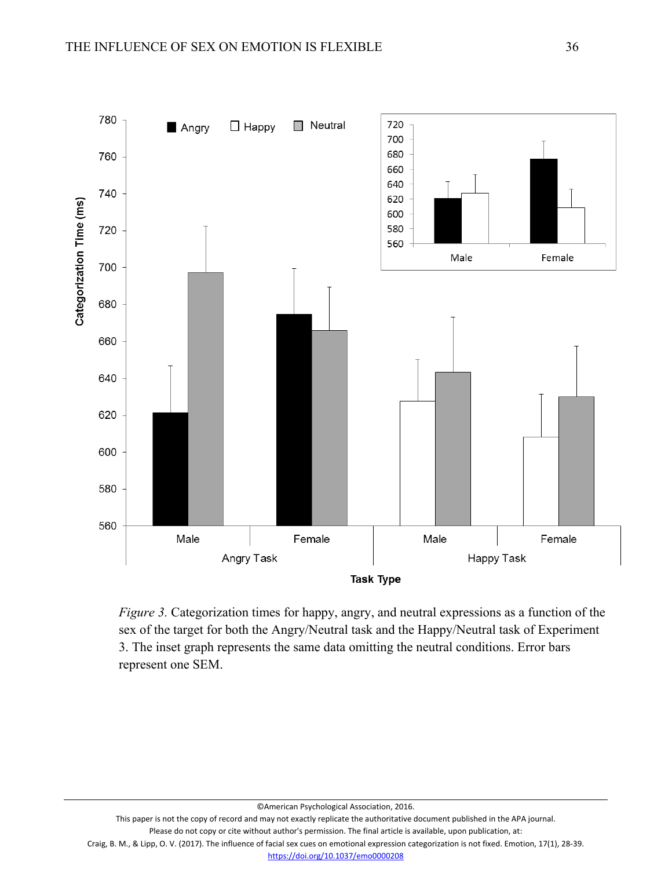

*Figure 3.* Categorization times for happy, angry, and neutral expressions as a function of the sex of the target for both the Angry/Neutral task and the Happy/Neutral task of Experiment 3. The inset graph represents the same data omitting the neutral conditions. Error bars represent one SEM.

Please do not copy or cite without author's permission. The final article is available, upon publication, at:

Craig, B. M., & Lipp, O. V. (2017). The influence of facial sex cues on emotional expression categorization is not fixed. Emotion, 17(1), 28-39.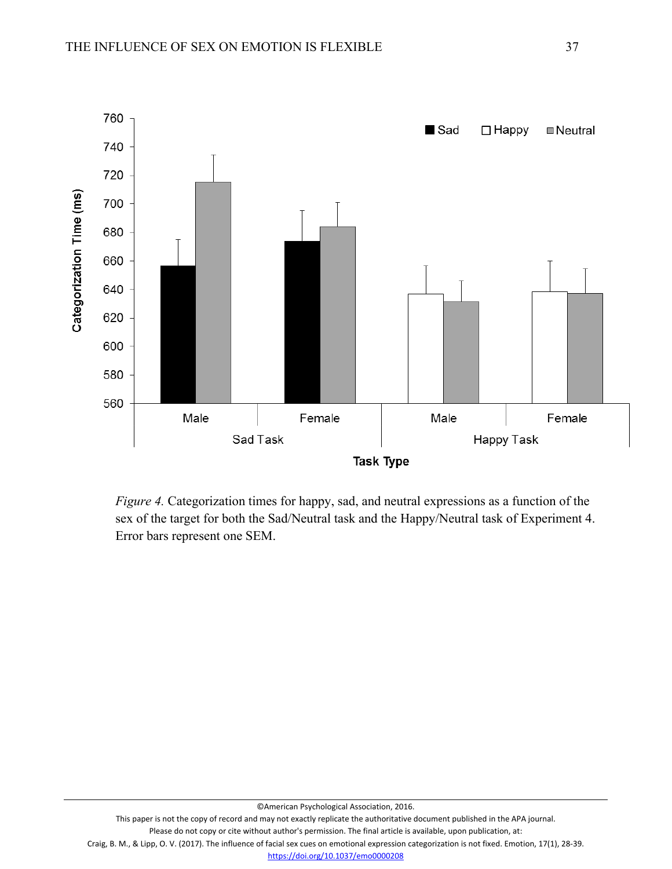

*Figure 4.* Categorization times for happy, sad, and neutral expressions as a function of the sex of the target for both the Sad/Neutral task and the Happy/Neutral task of Experiment 4. Error bars represent one SEM.

Please do not copy or cite without author's permission. The final article is available, upon publication, at:

Craig, B. M., & Lipp, O. V. (2017). The influence of facial sex cues on emotional expression categorization is not fixed. Emotion, 17(1), 28-39.

<sup>©</sup>American Psychological Association, 2016.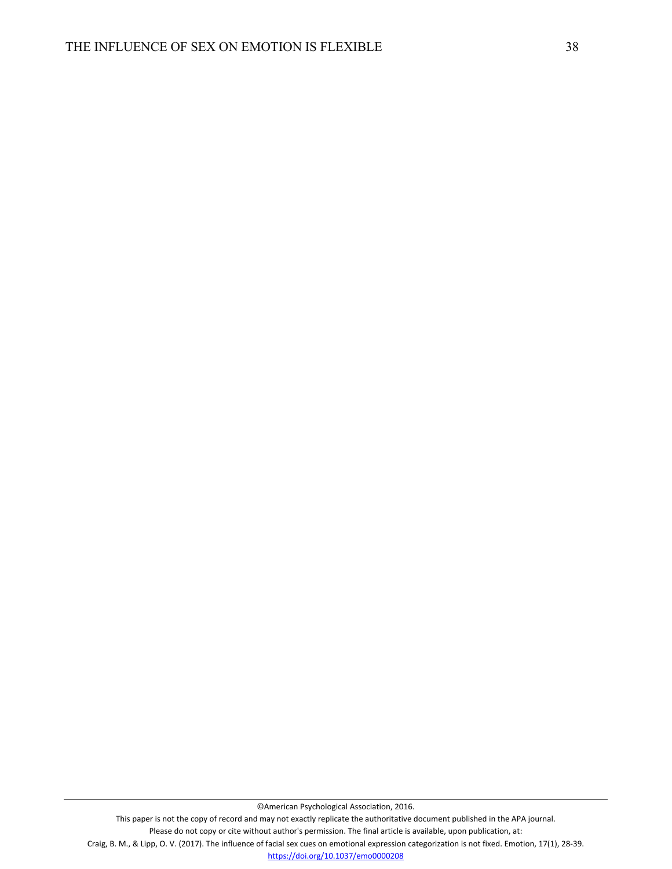©American Psychological Association, 2016.

This paper is not the copy of record and may not exactly replicate the authoritative document published in the APA journal.

Please do not copy or cite without author's permission. The final article is available, upon publication, at:

Craig, B. M., & Lipp, O. V. (2017). The influence of facial sex cues on emotional expression categorization is not fixed. Emotion, 17(1), 28-39.